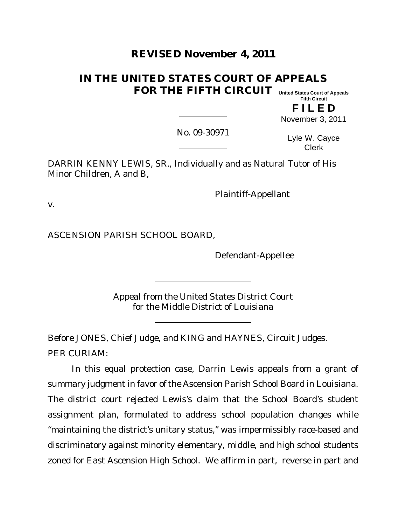# **REVISED November 4, 2011**

# **IN THE UNITED STATES COURT OF APPEALS FOR THE FIFTH CIRCUIT United States Court of Appeals**

**Fifth Circuit**

**F I L E D** November 3, 2011

No. 09-30971

Lyle W. Cayce Clerk

DARRIN KENNY LEWIS, SR., Individually and as Natural Tutor of His Minor Children, A and B,

Plaintiff-Appellant

v.

ASCENSION PARISH SCHOOL BOARD,

Defendant-Appellee

Appeal from the United States District Court for the Middle District of Louisiana

Before JONES, Chief Judge, and KING and HAYNES, Circuit Judges. PER CURIAM:

In this equal protection case, Darrin Lewis appeals from a grant of summary judgment in favor of the Ascension Parish School Board in Louisiana. The district court rejected Lewis's claim that the School Board's student assignment plan, formulated to address school population changes while "maintaining the district's unitary status," was impermissibly race-based and discriminatory against minority elementary, middle, and high school students zoned for East Ascension High School. We affirm in part, reverse in part and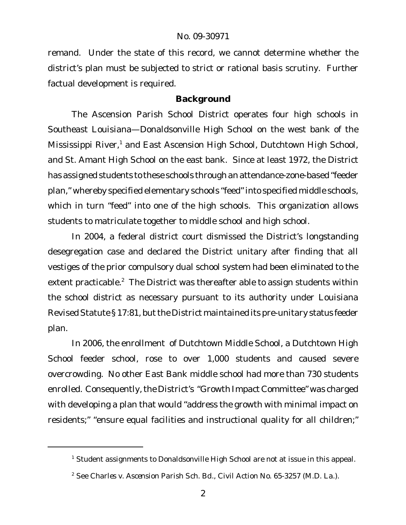remand. Under the state of this record, we cannot determine whether the district's plan must be subjected to strict or rational basis scrutiny. Further factual development is required.

## **Background**

The Ascension Parish School District operates four high schools in Southeast Louisiana—Donaldsonville High School on the west bank of the Mississippi River,<sup>1</sup> and East Ascension High School, Dutchtown High School, and St. Amant High School on the east bank. Since at least 1972, the District has assigned students to these schools through an attendance-zone-based "feeder plan," whereby specified elementary schools "feed"into specified middle schools, which in turn "feed" into one of the high schools. This organization allows students to matriculate together to middle school and high school.

In 2004, a federal district court dismissed the District's longstanding desegregation case and declared the District unitary after finding that all vestiges of the prior compulsory dual school system had been eliminated to the extent practicable.<sup>2</sup> The District was thereafter able to assign students within the school district as necessary pursuant to its authority under Louisiana Revised Statute § 17:81, but the District maintained its pre-unitary status feeder plan.

In 2006, the enrollment of Dutchtown Middle School, a Dutchtown High School feeder school, rose to over 1,000 students and caused severe overcrowding. No other East Bank middle school had more than 730 students enrolled. Consequently, the District's "Growth Impact Committee" was charged with developing a plan that would "address the growth with minimal impact on residents;" "ensure equal facilities and instructional quality for all children;"

<sup>&</sup>lt;sup>1</sup> Student assignments to Donaldsonville High School are not at issue in this appeal.

<sup>2</sup> See *Charles v. Ascension Parish Sch. Bd.*, Civil Action No. 65-3257 (M.D. La.).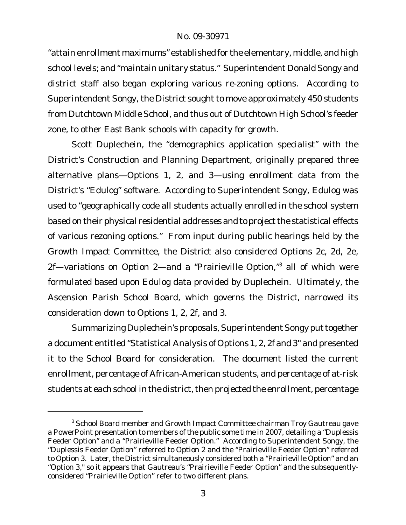"attain enrollment maximums" established for the elementary, middle, and high school levels; and "maintain unitary status." Superintendent Donald Songy and district staff also began exploring various re-zoning options. According to Superintendent Songy, the District sought to move approximately 450 students from Dutchtown Middle School, and thus out of Dutchtown High School's feeder zone, to other East Bank schools with capacity for growth.

Scott Duplechein, the "demographics application specialist" with the District's Construction and Planning Department, originally prepared three alternative plans—Options 1, 2, and 3—using enrollment data from the District's "Edulog" software. According to Superintendent Songy, Edulog was used to "geographically code all students actually enrolled in the school system based on their physical residential addresses and to project the statistical effects of various rezoning options." From input during public hearings held by the Growth Impact Committee, the District also considered Options 2c, 2d, 2e, 2f—variations on Option 2—and a "Prairieville Option,"<sup>3</sup> all of which were formulated based upon Edulog data provided by Duplechein. Ultimately, the Ascension Parish School Board, which governs the District, narrowed its consideration down to Options 1, 2, 2f, and 3.

Summarizing Duplechein's proposals, Superintendent Songy put together a document entitled "Statistical Analysis of Options 1, 2, 2f and 3" and presented it to the School Board for consideration. The document listed the current enrollment, percentage of African-American students, and percentage of at-risk students at each school in the district, then projected the enrollment, percentage

<sup>&</sup>lt;sup>3</sup> School Board member and Growth Impact Committee chairman Troy Gautreau gave a PowerPoint presentation to members of the public some time in 2007, detailing a "Duplessis Feeder Option" and a "Prairieville Feeder Option." According to Superintendent Songy, the "Duplessis Feeder Option" referred to Option 2 and the "Prairieville Feeder Option" referred to Option 3. Later, the District simultaneously considered both a "Prairieville Option" and an "Option 3," so it appears that Gautreau's "Prairieville Feeder Option" and the subsequentlyconsidered "Prairieville Option" refer to two different plans.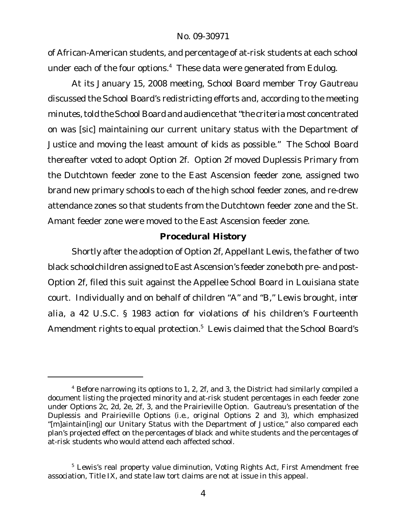of African-American students, and percentage of at-risk students at each school under each of the four options.<sup>4</sup> These data were generated from Edulog.

At its January 15, 2008 meeting, School Board member Troy Gautreau discussed the School Board's redistricting efforts and, according to the meeting minutes, told the School Board and audience that "the criteria most concentrated on was [sic] maintaining our current unitary status with the Department of Justice and moving the least amount of kids as possible." The School Board thereafter voted to adopt Option 2f. Option 2f moved Duplessis Primary from the Dutchtown feeder zone to the East Ascension feeder zone, assigned two brand new primary schools to each of the high school feeder zones, and re-drew attendance zones so that students from the Dutchtown feeder zone and the St. Amant feeder zone were moved to the East Ascension feeder zone.

#### **Procedural History**

Shortly after the adoption of Option 2f, Appellant Lewis, the father of two black schoolchildren assigned to East Ascension's feeder zone both pre- and post-Option 2f, filed this suit against the Appellee School Board in Louisiana state court. Individually and on behalf of children "A" and "B," Lewis brought, *inter alia*, a 42 U.S.C. § 1983 action for violations of his children's Fourteenth Amendment rights to equal protection.<sup>5</sup> Lewis claimed that the School Board's

 $4$  Before narrowing its options to 1, 2, 2f, and 3, the District had similarly compiled a document listing the projected minority and at-risk student percentages in each feeder zone under Options 2c, 2d, 2e, 2f, 3, and the Prairieville Option. Gautreau's presentation of the Duplessis and Prairieville Options (*i.e.*, original Options 2 and 3), which emphasized "[m]aintain[ing] our Unitary Status with the Department of Justice," also compared each plan's projected effect on the percentages of black and white students and the percentages of at-risk students who would attend each affected school.

<sup>&</sup>lt;sup>5</sup> Lewis's real property value diminution, Voting Rights Act, First Amendment free association, Title IX, and state law tort claims are not at issue in this appeal.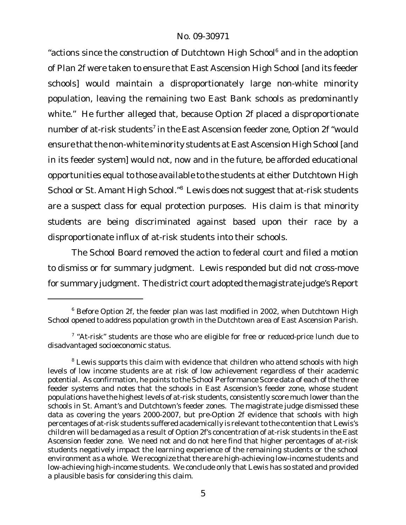"actions since the construction of Dutchtown High School<sup>6</sup> and in the adoption of Plan 2f were taken to ensure that East Ascension High School [and its feeder schools] would maintain a disproportionately large non-white minority population, leaving the remaining two East Bank schools as predominantly white." He further alleged that, because Option 2f placed a disproportionate number of at-risk students $^7$  in the East Ascension feeder zone, Option 2f "would ensure that the non-white minority students at East Ascension High School [and in its feeder system] would not, now and in the future, be afforded educational opportunities equal to those available to the students at either Dutchtown High School or St. Amant High School."<sup>8</sup> Lewis does not suggest that at-risk students are a suspect class for equal protection purposes. His claim is that *minority students* are being discriminated against based upon their race by a disproportionate influx of at-risk students into their schools.

The School Board removed the action to federal court and filed a motion to dismiss or for summary judgment. Lewis responded but did not cross-move for summary judgment. The district court adopted the magistrate judge's Report

 $6$  Before Option 2f, the feeder plan was last modified in 2002, when Dutchtown High School opened to address population growth in the Dutchtown area of East Ascension Parish.

 $7$  "At-risk" students are those who are eligible for free or reduced-price lunch due to disadvantaged socioeconomic status.

 $8$  Lewis supports this claim with evidence that children who attend schools with high levels of low income students are at risk of low achievement regardless of their academic potential. As confirmation, he points to the School Performance Score data of each of the three feeder systems and notes that the schools in East Ascension's feeder zone, whose student populations have the highest levels of at-risk students, consistently score much lower than the schools in St. Amant's and Dutchtown's feeder zones. The magistrate judge dismissed these data as covering the years 2000-2007, but pre-Option 2f evidence that schools with high percentages of at-risk students suffered academically is relevant to the contention that Lewis's children will be damaged as a result of Option 2f's concentration of at-risk students in the East Ascension feeder zone. We need not and do not here find that higher percentages of at-risk students negatively impact the learning experience of the remaining students or the school environment as a whole. We recognize that there are high-achieving low-income students and low-achieving high-income students. We conclude only that Lewis has so stated and provided a plausible basis for considering this claim.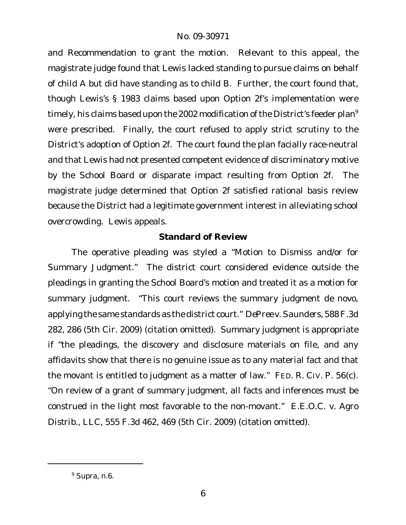and Recommendation to grant the motion. Relevant to this appeal, the magistrate judge found that Lewis lacked standing to pursue claims on behalf of child A but did have standing as to child B. Further, the court found that, though Lewis's § 1983 claims based upon Option 2f's implementation were timely, his claims based upon the 2002 modification of the District's feeder plan<sup>9</sup> were prescribed. Finally, the court refused to apply strict scrutiny to the District's adoption of Option 2f. The court found the plan facially race-neutral and that Lewis had not presented competent evidence of discriminatory motive by the School Board or disparate impact resulting from Option 2f. The magistrate judge determined that Option 2f satisfied rational basis review because the District had a legitimate government interest in alleviating school overcrowding. Lewis appeals.

## **Standard of Review**

The operative pleading was styled a "Motion to Dismiss and/or for Summary Judgment." The district court considered evidence outside the pleadings in granting the School Board's motion and treated it as a motion for summary judgment. "This court reviews the summary judgment *de novo*, applying the same standards as the district court." *DePree v.Saunders*, 588F.3d 282, 286 (5th Cir. 2009) (citation omitted). Summary judgment is appropriate if "the pleadings, the discovery and disclosure materials on file, and any affidavits show that there is no genuine issue as to any material fact and that the movant is entitled to judgment as a matter of law." FED. R. CIV. P. 56(c). "On review of a grant of summary judgment, all facts and inferences must be construed in the light most favorable to the non-movant." *E.E.O.C. v. Agro Distrib., LLC*, 555 F.3d 462, 469 (5th Cir. 2009) (citation omitted).

<sup>9</sup> *Supra,* n.6.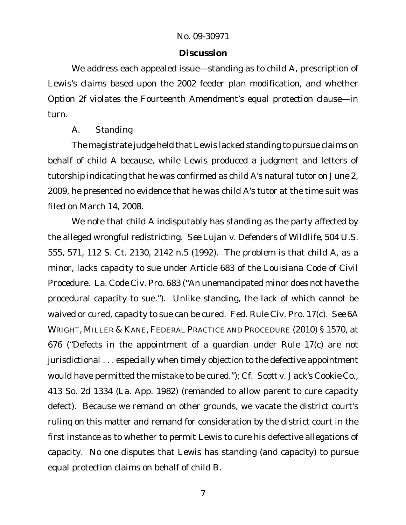### **Discussion**

We address each appealed issue—standing as to child A, prescription of Lewis's claims based upon the 2002 feeder plan modification, and whether Option 2f violates the Fourteenth Amendment's equal protection clause—in turn.

## *A. Standing*

The magistrate judge held that Lewis lacked standing to pursue claims on behalf of child A because, while Lewis produced a judgment and letters of tutorship indicating that he was confirmed as child A's natural tutor on June 2, 2009, he presented no evidence that he was child A's tutor at the time suit was filed on March 14, 2008.

We note that child A indisputably has standing as the party affected by the alleged wrongful redistricting. *See Lujan v. Defenders of Wildlife*, 504 U.S. 555, 571, 112 S. Ct. 2130, 2142 n.5 (1992). The problem is that child A, as a minor, lacks capacity to sue under Article 683 of the Louisiana Code of Civil Procedure. La. Code Civ. Pro. 683 ("An unemancipated minor does not have the procedural capacity to sue."). Unlike standing, the lack of which cannot be waived or cured, capacity to sue can be cured. Fed. Rule Civ. Pro. 17(c). *See* 6A WRIGHT, MILLER & KANE, FEDERAL PRACTICE AND PROCEDURE (2010) § 1570, at 676 ("Defects in the appointment of a guardian under Rule 17(c) are not jurisdictional . . . especially when timely objection to the defective appointment would have permitted the mistake to be cured."); *Cf*. *Scott v. Jack's Cookie Co*., 413 So. 2d 1334 (La. App. 1982) (remanded to allow parent to cure capacity defect). Because we remand on other grounds, we vacate the district court's ruling on this matter and remand for consideration by the district court in the first instance as to whether to permit Lewis to cure his defective allegations of capacity. No one disputes that Lewis has standing (and capacity) to pursue equal protection claims on behalf of child B.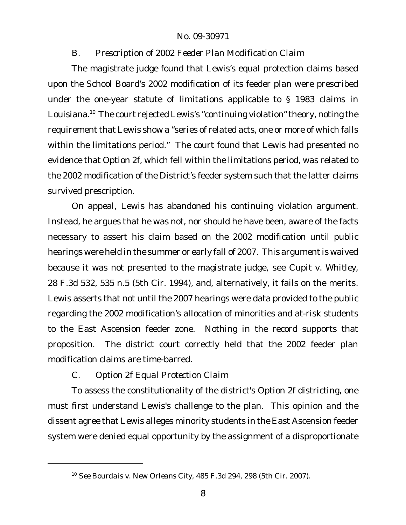*B. Prescription of 2002 Feeder Plan Modification Claim*

The magistrate judge found that Lewis's equal protection claims based upon the School Board's 2002 modification of its feeder plan were prescribed under the one-year statute of limitations applicable to § 1983 claims in Louisiana.<sup>10</sup> The court rejected Lewis's "continuing violation" theory, noting the requirement that Lewis show a "series of related acts, one or more of which falls within the limitations period." The court found that Lewis had presented no evidence that Option 2f, which fell within the limitations period, was related to the 2002 modification of the District's feeder system such that the latter claims survived prescription.

On appeal, Lewis has abandoned his continuing violation argument. Instead, he argues that he was not, nor should he have been, aware of the facts necessary to assert his claim based on the 2002 modification until public hearings were held in the summer or early fall of 2007. This argument is waived because it was not presented to the magistrate judge, see *Cupit v. Whitley*, 28 F.3d 532, 535 n.5 (5th Cir. 1994), and, alternatively, it fails on the merits. Lewis asserts that not until the 2007 hearings were data provided to the public regarding the 2002 modification's allocation of minorities and at-risk students to the East Ascension feeder zone. Nothing in the record supports that proposition. The district court correctly held that the 2002 feeder plan modification claims are time-barred.

*C. Option 2f Equal Protection Claim*

To assess the constitutionality of the district's Option 2f districting, one must first understand Lewis's challenge to the plan. This opinion and the dissent agree that Lewis alleges minority students in the East Ascension feeder system were denied equal opportunity by the assignment of a disproportionate

<sup>10</sup> *See Bourdais v. New Orleans City*, 485 F.3d 294, 298 (5th Cir. 2007).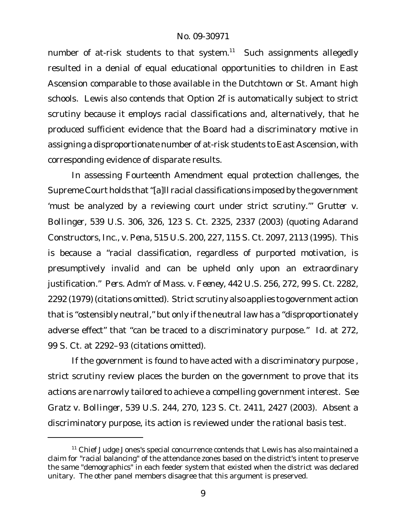number of at-risk students to that system.<sup>11</sup> Such assignments allegedly resulted in a denial of equal educational opportunities to children in East Ascension comparable to those available in the Dutchtown or St. Amant high schools. Lewis also contends that Option 2f is automatically subject to strict scrutiny because it employs racial classifications and, alternatively, that he produced sufficient evidence that the Board had a discriminatory motive in assigning a disproportionate number of at-risk students to East Ascension, with corresponding evidence of disparate results.

In assessing Fourteenth Amendment equal protection challenges, the Supreme Court holds that"[a]ll racial classifications imposed by the government 'must be analyzed by a reviewing court under strict scrutiny.'" *Grutter v. Bollinger*, 539 U.S. 306, 326, 123 S. Ct. 2325, 2337 (2003) (quoting *Adarand Constructors, Inc., v. Pena*, 515 U.S. 200, 227, 115 S. Ct. 2097, 2113 (1995). This is because a "racial classification, regardless of purported motivation, is presumptively invalid and can be upheld only upon an extraordinary justification." *Pers. Adm'r of Mass. v. Feeney*, 442 U.S. 256, 272, 99 S. Ct. 2282, 2292 (1979) (citations omitted). Strict scrutiny also applies to government action that is "ostensibly neutral," but only if the neutral law has a "disproportionately adverse effect" that "can be traced to a discriminatory purpose." *Id.* at 272, 99 S. Ct. at 2292–93 (citations omitted).

If the government is found to have acted with a discriminatory purpose , strict scrutiny review places the burden on the government to prove that its actions are narrowly tailored to achieve a compelling government interest. *See Gratz v. Bollinger*, 539 U.S. 244, 270, 123 S. Ct. 2411, 2427 (2003). Absent a discriminatory purpose, its action is reviewed under the rational basis test.

 $11$  Chief Judge Jones's special concurrence contends that Lewis has also maintained a claim for "racial balancing" of the attendance zones based on the district's intent to preserve the same "demographics" in each feeder system that existed when the district was declared unitary. The other panel members disagree that this argument is preserved.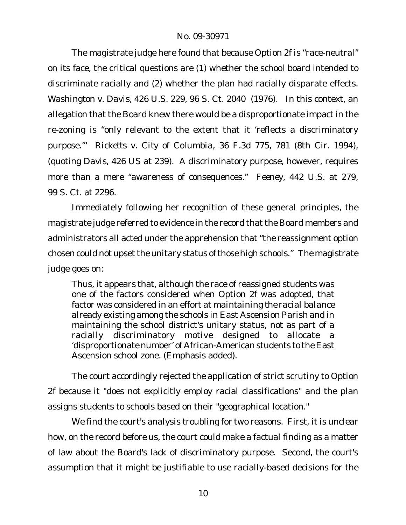The magistrate judge here found that because Option 2f is "race-neutral" on its face, the critical questions are (1) whether the school board intended to discriminate racially and (2) whether the plan had racially disparate effects. *Washington v. Davis*, 426 U.S. 229, 96 S. Ct. 2040 (1976). In this context, an allegation that the Board knew there would be a disproportionate impact in the re-zoning is "only relevant to the extent that it 'reflects a discriminatory purpose.'" *Ricketts v. City of Columbia*, 36 F.3d 775, 781 (8th Cir. 1994), (quoting *Davis*, 426 US at 239). A discriminatory purpose, however, requires more than a mere "awareness of consequences." *Feeney*, 442 U.S. at 279, 99 S. Ct. at 2296.

Immediately following her recognition of these general principles, the magistrate judge referred to evidence in the record that the Board members and administrators all acted under the apprehension that "the reassignment option chosen could not upset the unitary status of those high schools." The magistrate judge goes on:

Thus, it appears that, although the race of reassigned students was one of the factors considered when Option 2f was adopted, that factor was considered in an effort at *maintaining the racial balance* already existing among the schools in East Ascension Parish and in maintaining the school district's unitary status, not as part of a racially discriminatory motive designed to allocate a 'disproportionate number' of African-American students to the East Ascension school zone. (Emphasis added).

The court accordingly rejected the application of strict scrutiny to Option 2f because it "does not explicitly employ racial classifications" and the plan assigns students to schools based on their "geographical location."

We find the court's analysis troubling for two reasons. First, it is unclear how, on the record before us, the court could make a factual finding as a matter of law about the Board's lack of discriminatory purpose. Second, the court's assumption that it might be justifiable to use racially-based decisions for the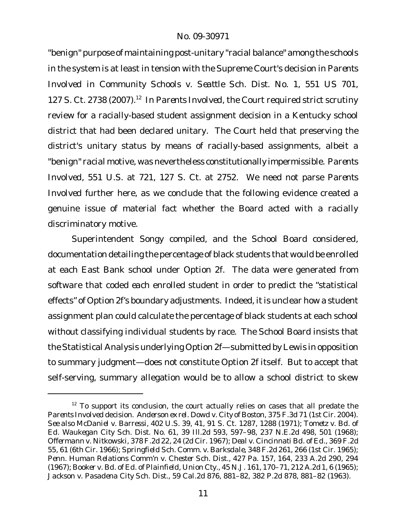"benign" purpose of maintaining post-unitary "racial balance" among the schools in the system is at least in tension with the Supreme Court's decision in *Parents Involved in Community Schools v. Seattle Sch. Dist. No. 1*, 551 US 701, 127 S. Ct. 2738 (2007).<sup>12</sup> In *Parents Involved*, the Court required strict scrutiny review for a racially-based student assignment decision in a Kentucky school district that had been declared unitary. The Court held that preserving the district's unitary status by means of racially-based assignments, albeit a "benign" racial motive, was nevertheless constitutionally impermissible. *Parents Involved*, 551 U.S. at 721, 127 S. Ct. at 2752. We need not parse *Parents Involved* further here, as we conclude that the following evidence created a genuine issue of material fact whether the Board acted with a racially discriminatory motive.

Superintendent Songy compiled, and the School Board considered, documentation detailing the percentage of black students that would be enrolled at each East Bank school under Option 2f. The data were generated from software that coded *each* enrolled student in order to predict the "statistical effects" of Option 2f's boundary adjustments. Indeed, it is unclear how a student assignment plan could calculate the percentage of black students at each school *without* classifying *individual* students by race. The School Board insists that the Statistical Analysis underlying Option 2f—submitted by Lewis in opposition to summary judgment—does not constitute Option 2f itself. But to accept that self-serving, summary allegation would be to allow a school district to skew

<sup>&</sup>lt;sup>12</sup> To support its conclusion, the court actually relies on cases that all predate the *Parents Involved* decision. *Anderson ex rel. Dowd v. City of Boston*, 375 F.3d 71 (1st Cir. 2004). *See also McDaniel v. Barressi*, 402 U.S. 39, 41, 91 S. Ct. 1287, 1288 (1971); *Tometz v. Bd. of Ed. Waukegan City Sch. Dist. No. 61,* 39 Ill.2d 593, 597–98, 237 N.E.2d 498, 501 (1968); *Offermann v. Nitkowski*, 378 F.2d 22, 24 (2d Cir. 1967); *Deal v. Cincinnati Bd. of Ed.,* 369 F.2d 55, 61 (6th Cir. 1966); *Springfield Sch. Comm. v. Barksdale*, 348 F.2d 261, 266 (1st Cir. 1965); *Penn. Human Relations Comm'n v. Chester Sch. Dist.*, 427 Pa. 157, 164, 233 A.2d 290, 294 (1967); *Booker v. Bd. of Ed. of Plainfield, Union Cty.,* 45 N.J. 161, 170–71, 212 A.2d 1, 6 (1965); *Jackson v. Pasadena City Sch. Dist.*, 59 Cal.2d 876, 881–82, 382 P.2d 878, 881–82 (1963).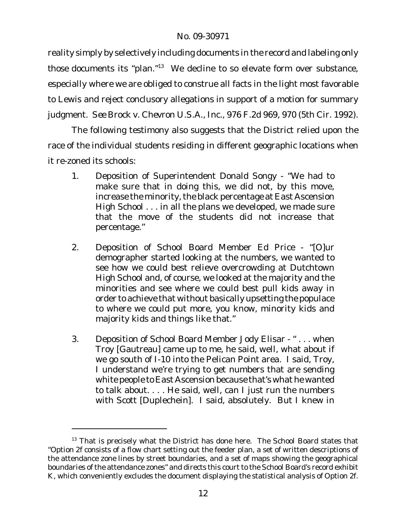reality simply by selectively including documents in the record and labeling only *those* documents its "plan."<sup>13</sup> We decline to so elevate form over substance, especially where we are obliged to construe all facts in the light most favorable to Lewis and reject conclusory allegations in support of a motion for summary judgment. *See Brock v. Chevron U.S.A., Inc.,* 976 F.2d 969, 970 (5th Cir. 1992).

The following testimony also suggests that the District relied upon the race of the individual students residing in different geographic locations when it re-zoned its schools:

- 1. Deposition of Superintendent Donald Songy "We had to make sure that in doing this, we did not, by this move, increase the minority, the black percentage at East Ascension High School . . . in all the plans we developed, we made sure that the move of the students did not increase that percentage."
- 2. Deposition of School Board Member Ed Price "[O]ur demographer started looking at the numbers, we wanted to see how we could best relieve overcrowding at Dutchtown High School and, of course, we looked at the majority and the minorities and see where we could best pull kids away in order to achieve that without basically upsetting the populace to where we could put more, you know, minority kids and majority kids and things like that."
- 3. Deposition of School Board Member Jody Elisar " . . . when Troy [Gautreau] came up to me, he said, well, what about if we go south of I-10 into the Pelican Point area. I said, Troy, I understand we're trying to get numbers that are sending white people to East Ascension because that's what he wanted to talk about. . . . He said, well, can I just run the numbers with Scott [Duplechein]. I said, absolutely. But I knew in

 $13$  That is precisely what the District has done here. The School Board states that "Option 2f consists of a flow chart setting out the feeder plan, a set of written descriptions of the attendance zone lines by street boundaries, and a set of maps showing the geographical boundaries of the attendance zones" and directs this court to the School Board's record exhibit K, which conveniently excludes the document displaying the statistical analysis of Option 2f.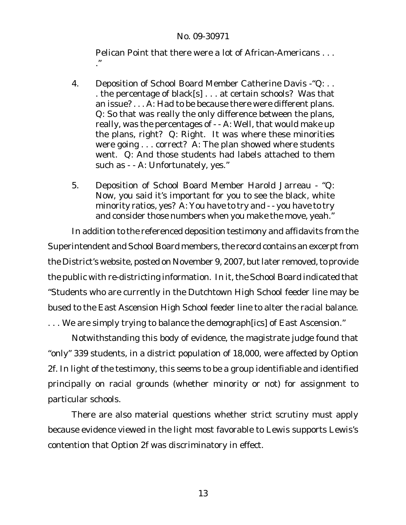Pelican Point that there were a lot of African-Americans . . . ."

- 4. Deposition of School Board Member Catherine Davis "Q:.. . the percentage of black[s] . . . at certain schools? Was that an issue? . . . A: Had to be because there were different plans. Q: So that was really the only difference between the plans, really, was the percentages of - - A: Well, that would make up the plans, right? Q: Right. It was where these minorities were going . . . correct? A: The plan showed where students went. Q: And those students had labels attached to them such as - - A: Unfortunately, yes."
- 5. Deposition of School Board Member Harold Jarreau "Q: Now, you said it's important for you to see the black, white minority ratios, yes? A: You have to try and - - you have to try and consider those numbers when you make the move, yeah."

In addition to the referenced deposition testimony and affidavits from the Superintendent and School Board members, the record contains an excerpt from the District's website, posted on November 9, 2007, but later removed, to provide the public with re-districting information. In it, the School Board indicated that "Students who are currently in the Dutchtown High School feeder line may be bused to the East Ascension High School feeder line to alter the racial balance. . . . We are simply trying to balance the demograph[ics] of East Ascension."

Notwithstanding this body of evidence, the magistrate judge found that "only" 339 students, in a district population of 18,000, were affected by Option 2f. In light of the testimony, this seems to be a group identifiable and identified principally on racial grounds (whether minority or not) for assignment to particular schools.

There are also material questions whether strict scrutiny must apply because evidence viewed in the light most favorable to Lewis supports Lewis's contention that Option 2f was discriminatory in effect.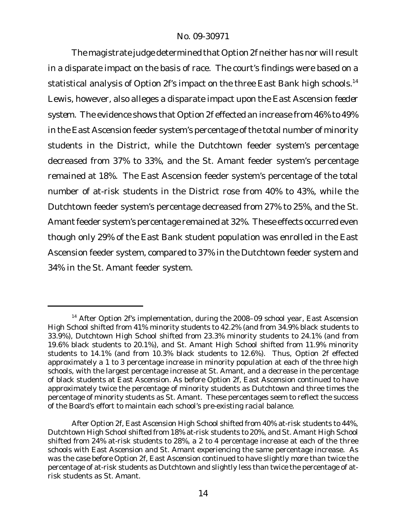The magistrate judge determined that Option 2f neither has nor will result in a disparate impact on the basis of race. The court's findings were based on a statistical analysis of Option 2f's impact on the three East Bank high schools.<sup>14</sup> Lewis, however, also alleges a disparate impact upon the East Ascension *feeder system*. The evidence shows that Option 2f effected an increase from 46% to 49% in the East Ascension feeder system's percentage of the total number of minority students in the District, while the Dutchtown feeder system's percentage decreased from 37% to 33%, and the St. Amant feeder system's percentage remained at 18%. The East Ascension feeder system's percentage of the total number of at-risk students in the District rose from 40% to 43%, while the Dutchtown feeder system's percentage decreased from 27% to 25%, and the St. Amant feeder system's percentage remained at 32%. These effects occurred even though only 29% of the East Bank student population was enrolled in the East Ascension feeder system, compared to 37% in the Dutchtown feeder system and 34% in the St. Amant feeder system.

<sup>&</sup>lt;sup>14</sup> After Option 2f's implementation, during the 2008-09 school year, East Ascension High School shifted from 41% minority students to 42.2% (and from 34.9% black students to 33.9%), Dutchtown High School shifted from 23.3% minority students to 24.1% (and from 19.6% black students to 20.1%), and St. Amant High School shifted from 11.9% minority students to 14.1% (and from 10.3% black students to 12.6%). Thus, Option 2f effected approximately a 1 to 3 percentage increase in minority population at each of the three high schools, with the largest percentage increase at St. Amant, and a decrease in the percentage of black students at East Ascension. As before Option 2f, East Ascension continued to have approximately twice the percentage of minority students as Dutchtown and three times the percentage of minority students as St. Amant. These percentages seem to reflect the success of the Board's effort to maintain each school's pre-existing racial balance.

After Option 2f, East Ascension High School shifted from 40% at-risk students to 44%, Dutchtown High School shifted from 18% at-risk students to 20%, and St. Amant High School shifted from 24% at-risk students to 28%, a 2 to 4 percentage increase at each of the three schools with East Ascension and St. Amant experiencing the same percentage increase. As was the case before Option 2f, East Ascension continued to have slightly more than twice the percentage of at-risk students as Dutchtown and slightly less than twice the percentage of atrisk students as St. Amant.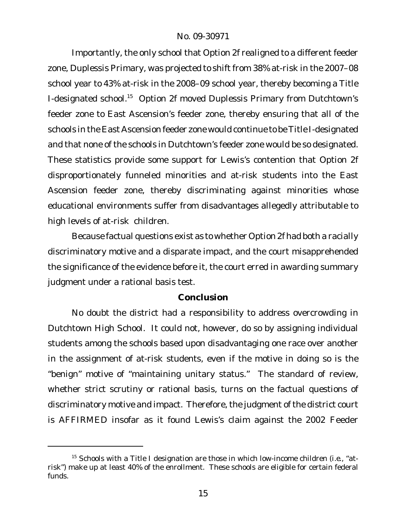Importantly, the only school that Option 2f realigned to a different feeder zone, Duplessis Primary, was projected to shift from 38% at-risk in the 2007–08 school year to 43% at-risk in the 2008–09 school year, thereby becoming a Title I-designated school.<sup>15</sup> Option 2f moved Duplessis Primary from Dutchtown's feeder zone to East Ascension's feeder zone, thereby ensuring that all of the schools in the East Ascension feeder zone would continue to be Title I-designated and that none of the schools in Dutchtown's feeder zone would be so designated. These statistics provide some support for Lewis's contention that Option 2f disproportionately funneled minorities and at-risk students into the East Ascension feeder zone, thereby discriminating against minorities whose educational environments suffer from disadvantages allegedly attributable to high levels of at-risk children.

Because factual questions exist as to whether Option 2f had both a racially discriminatory motive and a disparate impact, and the court misapprehended the significance of the evidence before it, the court erred in awarding summary judgment under a rational basis test.

## **Conclusion**

No doubt the district had a responsibility to address overcrowding in Dutchtown High School. It could not, however, do so by assigning individual students among the schools based upon disadvantaging one race over another in the assignment of at-risk students, even if the motive in doing so is the "benign" motive of "maintaining unitary status." The standard of review, whether strict scrutiny or rational basis, turns on the factual questions of discriminatory motive and impact. Therefore, the judgment of the district court is AFFIRMED insofar as it found Lewis's claim against the 2002 Feeder

<sup>15</sup> Schools with a Title I designation are those in which low-income children (*i.e.*, "atrisk") make up at least 40% of the enrollment. These schools are eligible for certain federal funds.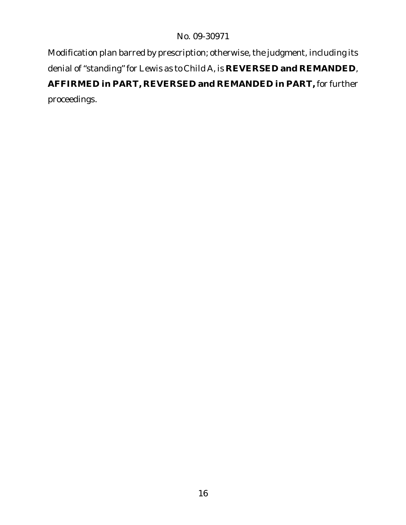Modification plan barred by prescription; otherwise, the judgment, including its denial of "standing" for Lewis as to Child A, is **REVERSED and REMANDED**, **AFFIRMED in PART, REVERSED and REMANDED in PART,** for further proceedings.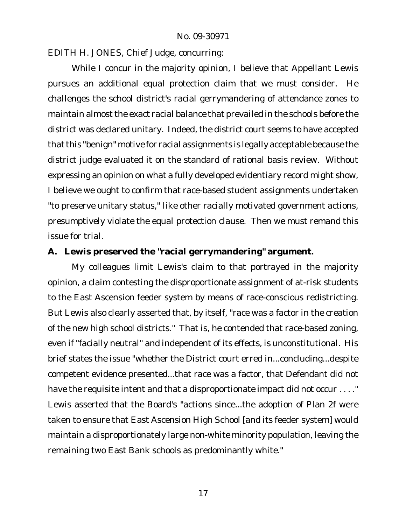EDITH H. JONES, Chief Judge, concurring:

While I concur in the majority opinion, I believe that Appellant Lewis pursues an additional equal protection claim that we must consider. He challenges the school district's racial gerrymandering of attendance zones to maintain almost the exact racial balance that prevailed in the schools before the district was declared unitary. Indeed, the district court seems to have accepted that this "benign" motive for racial assignments is legally acceptable because the district judge evaluated it on the standard of rational basis review. Without expressing an opinion on what a fully developed evidentiary record might show, I believe we ought to confirm that race-based student assignments undertaken "to preserve unitary status," like other racially motivated government actions, presumptively violate the equal protection clause. Then we must remand this issue for trial.

**A. Lewis preserved the "racial gerrymandering" argument.**

My colleagues limit Lewis's claim to that portrayed in the majority opinion, a claim contesting the disproportionate assignment of at-risk students to the East Ascension feeder system by means of race-conscious redistricting. But Lewis also clearly asserted that, by itself, "race was a factor in the creation of the new high school districts." That is, he contended that race-based zoning, even if "facially neutral" and independent of its effects, is unconstitutional. His brief states the issue "whether the District court erred in...concluding...despite competent evidence presented...that race was a factor, that Defendant did not have the requisite intent and that a disproportionate impact did not occur . . . ." Lewis asserted that the Board's "actions since...the adoption of Plan 2f were taken to ensure that East Ascension High School [and its feeder system] would maintain a disproportionately large non-white minority population, leaving the remaining two East Bank schools as predominantly white."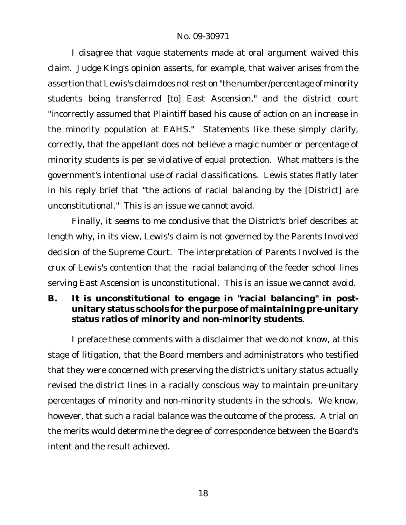I disagree that vague statements made at oral argument waived this claim. Judge King's opinion asserts, for example, that waiver arises from the assertion that Lewis's claim does not rest on "the number/percentage of minority students being transferred [to] East Ascension," and the district court "incorrectly assumed that Plaintiff based his cause of action on an increase in the minority population at EAHS." Statements like these simply clarify, correctly, that the appellant does not believe a magic number or percentage of minority students is per se violative of equal protection. What matters is the government's intentional use of racial classifications. Lewis states flatly later in his reply brief that "the actions of racial balancing by the [District] are unconstitutional." This is an issue we cannot avoid.

Finally, it seems to me conclusive that the District's brief describes at length why, in its view, Lewis's claim is not governed by the *Parents Involved* decision of the Supreme Court. The interpretation of *Parents Involved* is the crux of Lewis's contention that the racial balancing of the feeder school lines serving East Ascension is unconstitutional. This is an issue we cannot avoid.

**B. It is unconstitutional to engage in "racial balancing" in postunitary status schools for the purpose of maintaining pre-unitary status ratios of minority and non-minority students**.

I preface these comments with a disclaimer that we do not know, at this stage of litigation, that the Board members and administrators who testified that they were concerned with preserving the district's unitary status actually revised the district lines in a racially conscious way to maintain pre-unitary percentages of minority and non-minority students in the schools. We know, however, that such a racial balance was the outcome of the process. A trial on the merits would determine the degree of correspondence between the Board's intent and the result achieved.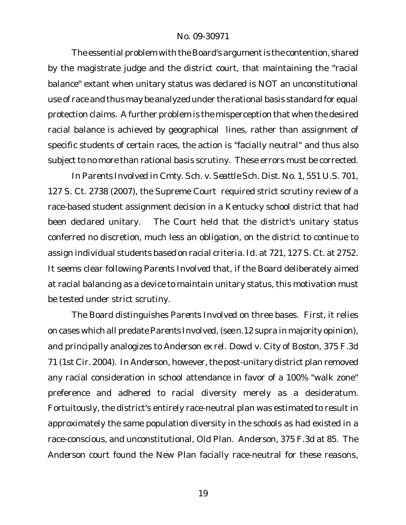The essential problem with the Board's argument is the contention, shared by the magistrate judge and the district court, that maintaining the "racial balance" extant when unitary status was declared is *NOT* an unconstitutional use of race and thus may be analyzed under the rational basis standard for equal protection claims. A further problem is the misperception that when the desired racial balance is achieved by geographical lines, rather than assignment of specific students of certain races, the action is "facially neutral" and thus also subject to no more than rational basis scrutiny. These errors must be corrected.

In *Parents Involved in Cmty. Sch. v. Seattle Sch. Dist. No. 1*, 551 U.S. 701, 127 S. Ct. 2738 (2007), the Supreme Court required strict scrutiny review of a race-based student assignment decision in a Kentucky school district that had been declared unitary. The Court held that the district's unitary status conferred no discretion, much less an obligation, on the district to continue to assign individual students based on racial criteria. *Id*. at 721, 127 S. Ct. at 2752. It seems clear following *Parents Involved* that, if the Board deliberately aimed at racial balancing as a device to maintain unitary status, this motivation must be tested under strict scrutiny.

The Board distinguishes *Parents Involved* on three bases. First, it relies on cases which all predate *Parents Involved*, (*see* n.12 *supra* in majority opinion), and principally analogizes to *Anderson ex rel. Dowd v. City of Boston*, 375 F.3d 71 (1st Cir. 2004). In *Anderson*, however,the post-unitary district plan removed any racial consideration in school attendance in favor of a 100% "walk zone" preference and adhered to racial diversity merely as a desideratum. Fortuitously, the district's entirely race-neutral plan was estimated to result in approximately the same population diversity in the schools as had existed in a race-conscious, and unconstitutional, Old Plan. *Anderson*, 375 F.3d at 85. The *Anderson* court found the New Plan facially race-neutral for these reasons,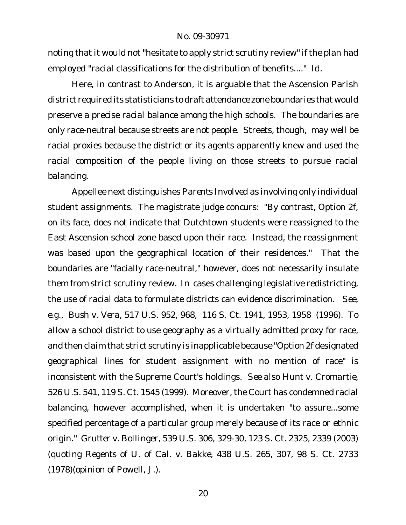noting that it would not "hesitate to apply strict scrutiny review" if the plan had employed "racial classifications for the distribution of benefits...." *Id*.

Here, in contrast to *Anderson*, it is arguable that the Ascension Parish district required its statisticians to draft attendance zone boundaries that would preserve a precise racial balance among the high schools. The boundaries are only race-neutral because streets are not people. Streets, though, may well be racial proxies because the district or its agents apparently knew and used the racial composition of the people living on those streets to pursue racial balancing.

Appellee next distinguishes *Parents Involved* as involving only individual student assignments. The magistrate judge concurs: "By contrast, Option 2f, on its face, does not indicate that Dutchtown students were reassigned to the East Ascension school zone based upon their race. Instead, the reassignment was based upon the geographical location of their residences." That the boundaries are "facially race-neutral," however, does not necessarily insulate them from strict scrutiny review. In cases challenging legislative redistricting, the use of racial data to formulate districts can evidence discrimination*. See, e.g., Bush v. Vera*, 517 U.S. 952, 968, 116 S. Ct. 1941, 1953, 1958 (1996). To allow a school district to use geography as a virtually admitted proxy for race, and then claim that strict scrutiny is inapplicable because "Option 2f designated geographical lines for student assignment with no *mention* of race" is inconsistent with the Supreme Court's holdings. *See also Hunt v. Cromartie,* 526 U.S. 541, 119 S. Ct. 1545 (1999). Moreover, the Court has condemned racial balancing, however accomplished, when it is undertaken "to assure...some specified percentage of a particular group merely because of its race or ethnic origin." *Grutter v. Bollinger*, 539 U.S. 306, 329-30, 123 S. Ct. 2325, 2339 (2003) (quoting *Regents of U. of Cal. v. Bakke*, 438 U.S. 265, 307, 98 S. Ct. 2733 (1978)(opinion of Powell, J.).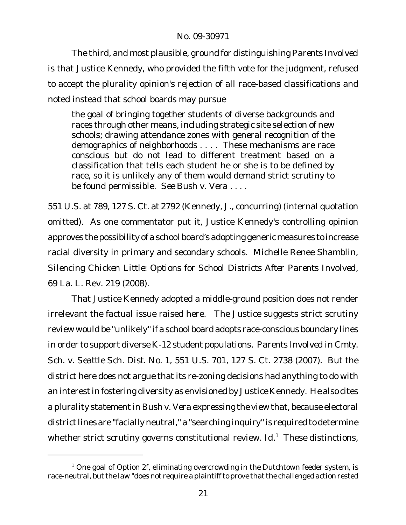The third, and most plausible, ground for distinguishing *Parents Involved* is that Justice Kennedy, who provided the fifth vote for the judgment, refused to accept the plurality opinion's rejection of all race-based classifications and noted instead that school boards may pursue

the goal of bringing together students of diverse backgrounds and races through other means, including strategic site selection of new schools; drawing attendance zones with general recognition of the demographics of neighborhoods . . . . These mechanisms are race conscious but do not lead to different treatment based on a classification that tells each student he or she is to be defined by race, so it is unlikely any of them would demand strict scrutiny to be found permissible. *See Bush v. Vera* . . . .

551 U.S. at 789, 127 S. Ct. at 2792 (Kennedy, J., concurring) (internal quotation omitted). As one commentator put it, Justice Kennedy's controlling opinion approves the possibility of a school board's adopting generic measures to increase racial diversity in primary and secondary schools. Michelle Renee Shamblin, *Silencing Chicken Little: Options for School Districts After Parents Involved*, 69 La. L. Rev. 219 (2008).

That Justice Kennedy adopted a middle-ground position does not render irrelevant the factual issue raised here. The Justice suggests strict scrutiny review would be "unlikely"if a school board adopts race-conscious boundary lines in order to support diverse K-12 student populations. *Parents Involved in Cmty. Sch. v. Seattle Sch. Dist. No. 1*, 551 U.S. 701, 127 S. Ct. 2738 (2007). But the district here does not argue that its re-zoning decisions had anything to do with an interest in fostering diversity as envisioned by Justice Kennedy. He also cites a plurality statementin *Bush v. Vera* expressing the view that, because electoral district lines are "facially neutral," a "searching inquiry" is required to determine whether strict scrutiny governs constitutional review. *Id*. <sup>1</sup> These distinctions,

 $1$  One goal of Option 2f, eliminating overcrowding in the Dutchtown feeder system, is race-neutral, but the law "does not require a plaintiff to prove that the challenged action rested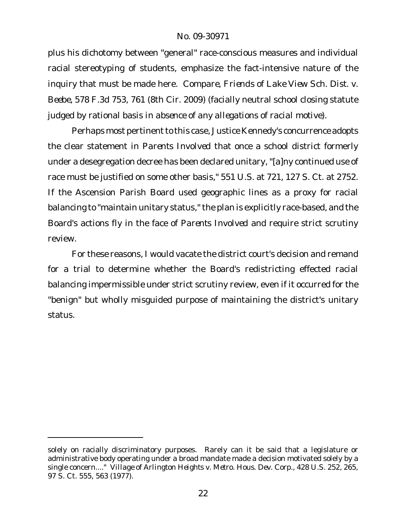plus his dichotomy between "general" race-conscious measures and individual racial stereotyping of students, emphasize the fact-intensive nature of the inquiry that must be made here. *Compare*, *Friends of Lake View Sch. Dist. v. Beebe*, 578 F.3d 753, 761 (8th Cir. 2009) (facially neutral school closing statute judged by rational basis *in absence of any allegations of racial motive*).

Perhaps most pertinent to this case, Justice Kennedy's concurrence adopts the clear statement in *Parents Involved* that once a school district formerly under a desegregation decree has been declared unitary, "[a]ny continued use of race must be justified on some other basis," 551 U.S. at 721, 127 S. Ct. at 2752. If the Ascension Parish Board used geographic lines as a proxy for racial balancing to "maintain unitary status," the plan is explicitly race-based, and the Board's actions fly in the face of *Parents Involved* and require strict scrutiny review.

For these reasons, I would vacate the district court's decision and remand for a trial to determine whether the Board's redistricting effected racial balancing impermissible under strict scrutiny review, even if it occurred for the "benign" but wholly misguided purpose of maintaining the district's unitary status.

solely on racially discriminatory purposes. Rarely can it be said that a legislature or administrative body operating under a broad mandate made a decision motivated solely by a single concern...." *Village of Arlington Heights v. Metro. Hous. Dev. Corp.*, 428 U.S. 252, 265, 97 S. Ct. 555, 563 (1977).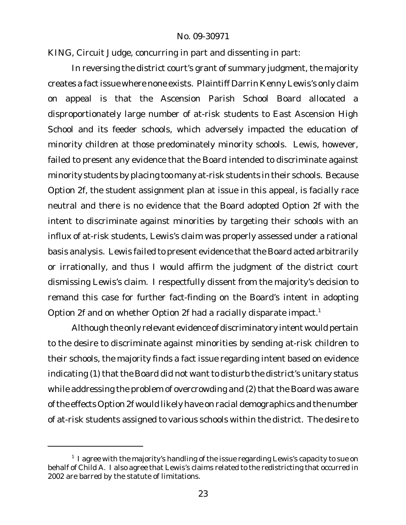KING, Circuit Judge, concurring in part and dissenting in part:

In reversing the district court's grant of summary judgment, the majority creates a fact issue where none exists. Plaintiff Darrin Kenny Lewis's only claim on appeal is that the Ascension Parish School Board allocated a disproportionately large number of at-risk students to East Ascension High School and its feeder schools, which adversely impacted the education of minority children at those predominately minority schools. Lewis, however, failed to present any evidence that the Board intended to discriminate against minority students by placing too many at-risk students in their schools. Because Option 2f, the student assignment plan at issue in this appeal, is facially race neutral and there is no evidence that the Board adopted Option 2f with the intent to discriminate against minorities by targeting their schools with an influx of at-risk students, Lewis's claim was properly assessed under a rational basis analysis. Lewis failed to present evidence that the Board acted arbitrarily or irrationally, and thus I would affirm the judgment of the district court dismissing Lewis's claim. I respectfully dissent from the majority's decision to remand this case for further fact-finding on the Board's intent in adopting Option 2f and on whether Option 2f had a racially disparate impact.<sup>1</sup>

Although the only relevant evidence of discriminatory intent would pertain to the desire to discriminate against minorities by sending at-risk children to their schools, the majority finds a fact issue regarding intent based on evidence indicating (1) that the Board did not want to disturb the district's unitary status while addressing the problem of overcrowding and (2) that the Board was aware ofthe effects Option 2f would likely have on racial demographics and the number of at-risk students assigned to various schools within the district. The desire to

 $^{\rm 1}$  I agree with the majority's handling of the issue regarding Lewis's capacity to sue on behalf of Child A. I also agree that Lewis's claims related to the redistricting that occurred in 2002 are barred by the statute of limitations.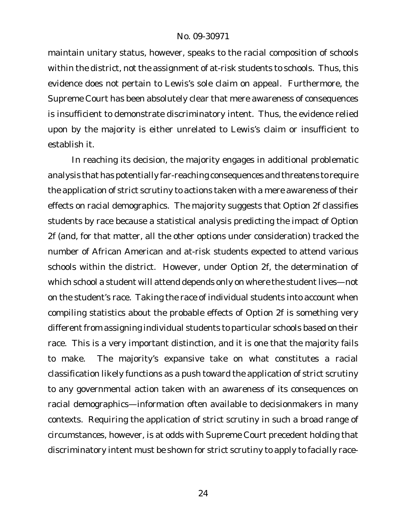maintain unitary status, however, speaks to the racial composition of schools within the district, not the assignment of at-risk students to schools. Thus, this evidence does not pertain to Lewis's sole claim on appeal. Furthermore, the Supreme Court has been absolutely clear that mere awareness of consequences is insufficient to demonstrate discriminatory intent. Thus, the evidence relied upon by the majority is either unrelated to Lewis's claim or insufficient to establish it.

In reaching its decision, the majority engages in additional problematic analysis that has potentially far-reaching consequences and threatens to require the application of strict scrutiny to actions taken with a mere awareness of their effects on racial demographics. The majority suggests that Option 2f classifies students by race because a statistical analysis predicting the impact of Option 2f (and, for that matter, all the other options under consideration) tracked the number of African American and at-risk students expected to attend various schools within the district. However, under Option 2f, the determination of which school a student will attend depends only on where the student lives—not on the student's race. Taking the race of individual students into account when compiling statistics about the probable effects of Option 2f is something very different from assigning individual students to particular schools based on their race. This is a very important distinction, and it is one that the majority fails to make. The majority's expansive take on what constitutes a racial classification likely functions as a push toward the application of strict scrutiny to any governmental action taken with an awareness of its consequences on racial demographics—information often available to decisionmakers in many contexts. Requiring the application of strict scrutiny in such a broad range of circumstances, however, is at odds with Supreme Court precedent holding that discriminatory intent must be shown for strict scrutiny to apply to facially race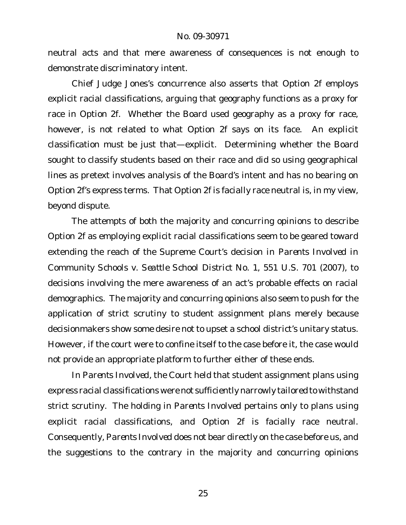neutral acts and that mere awareness of consequences is not enough to demonstrate discriminatory intent.

Chief Judge Jones's concurrence also asserts that Option 2f employs explicit racial classifications, arguing that geography functions as a proxy for race in Option 2f. Whether the Board used geography as a proxy for race, however, is not related to what Option 2f says on its face. An explicit classification must be just that—explicit. Determining whether the Board sought to classify students based on their race and did so using geographical lines as pretext involves analysis of the Board's intent and has no bearing on Option 2f's express terms. That Option 2f is facially race neutral is, in my view, beyond dispute.

The attempts of both the majority and concurring opinions to describe Option 2f as employing explicit racial classifications seem to be geared toward extending the reach of the Supreme Court's decision in *Parents Involved in Community Schools v. Seattle School District No. 1*, 551 U.S. 701 (2007), to decisions involving the mere awareness of an act's probable effects on racial demographics. The majority and concurring opinions also seem to push for the application of strict scrutiny to student assignment plans merely because decisionmakers show some desire not to upset a school district's unitary status. However, if the court were to confine itself to the case before it, the case would not provide an appropriate platform to further either of these ends.

In *Parents Involved*, the Court held that student assignment plans using express racial classifications were not sufficiently narrowly tailored to withstand strict scrutiny. The holding in *Parents Involved* pertains only to plans using explicit racial classifications, and Option 2f is facially race neutral. Consequently, *Parents Involved* does not bear directly on the case before us, and the suggestions to the contrary in the majority and concurring opinions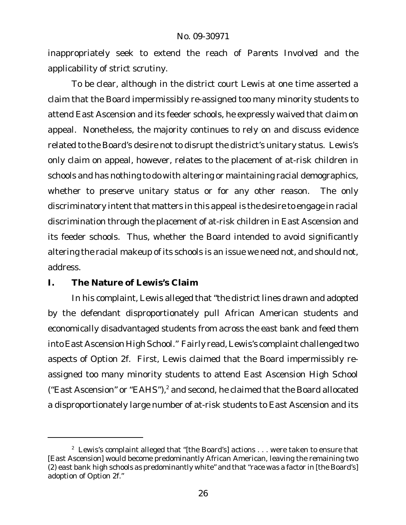inappropriately seek to extend the reach of *Parents Involved* and the applicability of strict scrutiny.

To be clear, although in the district court Lewis at one time asserted a claim that the Board impermissibly re-assigned too many minority students to attend East Ascension and its feeder schools, he expressly waived that claim on appeal. Nonetheless, the majority continues to rely on and discuss evidence related to the Board's desire not to disrupt the district's unitary status. Lewis's only claim on appeal, however, relates to the placement of at-risk children in schools and has nothing to do with altering or maintaining racial demographics, whether to preserve unitary status or for any other reason. The only discriminatory intent that matters in this appeal is the desire to engage in racial discrimination through the placement of at-risk children in East Ascension and its feeder schools. Thus, whether the Board intended to avoid significantly altering the racial makeup of its schools is an issue we need not, and should not, address.

## **I. The Nature of Lewis's Claim**

In his complaint, Lewis alleged that "the district lines drawn and adopted by the defendant disproportionately pull African American students and economically disadvantaged students from across the east bank and feed them into East Ascension High School." Fairly read, Lewis's complaint challenged two aspects of Option 2f. First, Lewis claimed that the Board impermissibly reassigned too many minority students to attend East Ascension High School ("East Ascension" or "EAHS"),<sup>2</sup> and second, he claimed that the Board allocated a disproportionately large number of at-risk students to East Ascension and its

 $2$  Lewis's complaint alleged that "[the Board's] actions  $\ldots$  were taken to ensure that [East Ascension] would become predominantly African American, leaving the remaining two (2) east bank high schools as predominantly white" and that "race was a factor in [the Board's] adoption of Option 2f."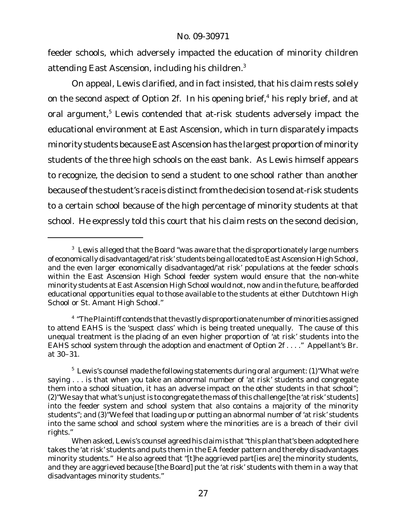feeder schools, which adversely impacted the education of minority children attending East Ascension, including his children.<sup>3</sup>

On appeal, Lewis clarified, and in fact insisted, that his claim rests solely on the second aspect of Option 2f. In his opening brief,<sup>4</sup> his reply brief, and at oral argument,<sup>5</sup> Lewis contended that at-risk students adversely impact the educational environment at East Ascension, which in turn disparately impacts minority students because East Ascension has the largest proportion of minority students of the three high schools on the east bank. As Lewis himself appears to recognize, the decision to send a student to one school rather than another because of the student's race is distinct from the decision to send at-risk students to a certain school because of the high percentage of minority students at that school. He expressly told this court that his claim rests on the second decision,

 $3$  Lewis alleged that the Board "was aware that the disproportionately large numbers of economically disadvantaged/'at risk' students being allocated to East Ascension High School, and the even larger economically disadvantaged/'at risk' populations at the feeder schools within the East Ascension High School feeder system would ensure that the non-white minority students at East Ascension High School would not, now and in the future, be afforded educational opportunities equal to those available to the students at either Dutchtown High School or St. Amant High School."

 $^4$  "The Plaintiff contends that the vastly disproportionate number of minorities assigned to attend EAHS is the 'suspect class' which is being treated unequally. The cause of this unequal treatment is the placing of an even higher proportion of 'at risk' students into the EAHS school system through the adoption and enactment of Option 2f . . . ." Appellant's Br. at 30–31.

<sup>&</sup>lt;sup>5</sup> Lewis's counsel made the following statements during oral argument: (1) "What we're saying . . . is that when you take an abnormal number of 'at risk' students and congregate them into a school situation, it has an adverse impact on the other students in that school"; (2) "We say that what's unjust is to congregate the mass of this challenge [the 'at risk' students] into the feeder system and school system that also contains a majority of the minority students"; and (3)"We feel that loading up or putting an abnormal number of 'at risk' students into the same school and school system where the minorities are is a breach of their civil rights."

When asked, Lewis's counsel agreed his claim is that "this plan that's been adopted here takes the 'at risk' students and puts them in the EA feeder pattern and thereby disadvantages minority students." He also agreed that "[t]he aggrieved part[ies are] the minority students, and they are aggrieved because [the Board] put the 'at risk' students with them in a way that disadvantages minority students."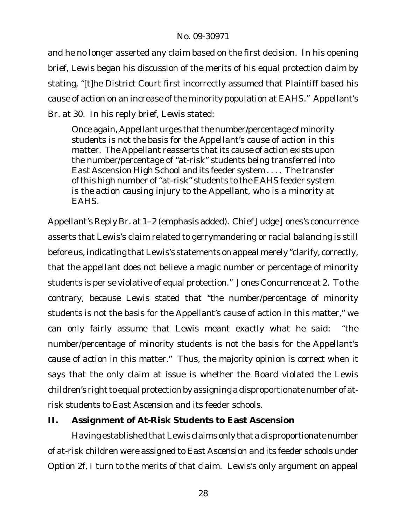and he no longer asserted any claim based on the first decision. In his opening brief, Lewis began his discussion of the merits of his equal protection claim by stating, "[t]he District Court first incorrectly assumed that Plaintiff based his cause of action on an increase of the minority population at EAHS." Appellant's Br. at 30. In his reply brief, Lewis stated:

Once again, Appellant urges that the number/percentage of minority students is *not the basis* for the Appellant's cause of action in this matter. The Appellant reasserts that its cause of action exists upon the number/percentage of "at-risk" students being transferred into East Ascension High School and its feeder system . . . . The transfer of this high number of "at-risk" students to the EAHS feeder system is *the action* causing injury to the Appellant, who is a minority at EAHS.

Appellant's Reply Br. at 1–2 (emphasis added). Chief Judge Jones's concurrence asserts that Lewis's claim related to gerrymandering or racial balancing is still before us, indicating that Lewis's statements on appeal merely "clarify, correctly, that the appellant does not believe a magic number or percentage of minority students is per se violative of equal protection." Jones Concurrence at 2. To the contrary, because Lewis stated that "the number/percentage of minority students is not the basis for the Appellant's cause of action in this matter," we can only fairly assume that Lewis meant exactly what he said: "the number/percentage of minority students is not the basis for the Appellant's cause of action in this matter." Thus, the majority opinion is correct when it says that the only claim at issue is whether the Board violated the Lewis children's right to equal protection by assigning a disproportionate number of atrisk students to East Ascension and its feeder schools.

**II. Assignment of At-Risk Students to East Ascension**

Having established that Lewis claims only that a disproportionate number of at-risk children were assigned to East Ascension and its feeder schools under Option 2f, I turn to the merits of that claim. Lewis's only argument on appeal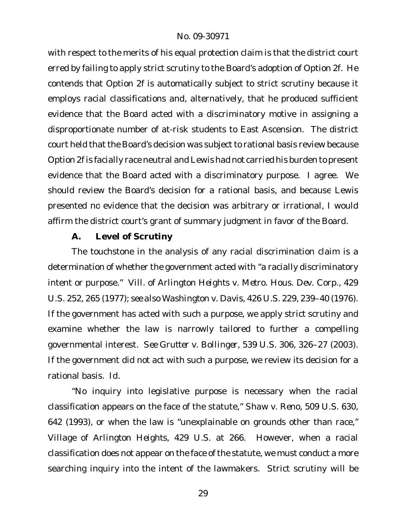with respect to the merits of his equal protection claim is that the district court erred by failing to apply strict scrutiny to the Board's adoption of Option 2f. He contends that Option 2f is automatically subject to strict scrutiny because it employs racial classifications and, alternatively, that he produced sufficient evidence that the Board acted with a discriminatory motive in assigning a disproportionate number of at-risk students to East Ascension. The district court held that the Board's decision was subject to rational basis review because Option 2f is facially race neutral and Lewis had not carried his burden to present evidence that the Board acted with a discriminatory purpose. I agree. We should review the Board's decision for a rational basis, and because Lewis presented no evidence that the decision was arbitrary or irrational, I would affirm the district court's grant of summary judgment in favor of the Board.

## **A. Level of Scrutiny**

The touchstone in the analysis of any racial discrimination claim is a determination of whether the government acted with "a racially discriminatory intent or purpose." *Vill. of Arlington Heights v. Metro. Hous. Dev. Corp.*, 429 U.S. 252, 265 (1977); *see also Washington v. Davis*, 426 U.S. 229, 239–40 (1976). If the government has acted with such a purpose, we apply strict scrutiny and examine whether the law is narrowly tailored to further a compelling governmental interest. *See Grutter v. Bollinger*, 539 U.S. 306, 326–27 (2003). If the government did not act with such a purpose, we review its decision for a rational basis. *Id.*

"No inquiry into legislative purpose is necessary when the racial classification appears on the face of the statute," *Shaw v. Reno*, 509 U.S. 630, 642 (1993), or when the law is "unexplainable on grounds other than race," *Village of Arlington Heights*, 429 U.S. at 266. However, when a racial classification does not appear on the face of the statute, we must conduct a more searching inquiry into the intent of the lawmakers. Strict scrutiny will be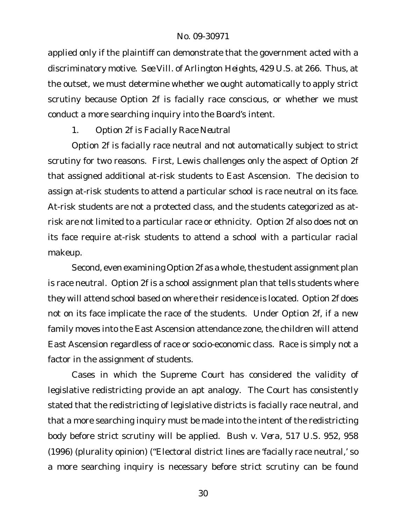applied only if the plaintiff can demonstrate that the government acted with a discriminatory motive. *See Vill. of Arlington Heights*, 429 U.S. at 266. Thus, at the outset, we must determine whether we ought automatically to apply strict scrutiny because Option 2f is facially race conscious, or whether we must conduct a more searching inquiry into the Board's intent.

## 1. *Option 2f is Facially Race Neutral*

Option 2f is facially race neutral and not automatically subject to strict scrutiny for two reasons. First, Lewis challenges only the aspect of Option 2f that assigned additional at-risk students to East Ascension. The decision to assign at-risk students to attend a particular school is race neutral on its face. At-risk students are not a protected class, and the students categorized as atrisk are not limited to a particular race or ethnicity. Option 2f also does not on its face require at-risk students to attend a school with a particular racial makeup.

Second, even examining Option 2f as a whole, the student assignment plan is race neutral. Option 2f is a school assignment plan that tells students where they will attend school based on where their residence is located. Option 2f does not on its face implicate the race of the students. Under Option 2f, if a new family moves into the East Ascension attendance zone, the children will attend East Ascension regardless of race or socio-economic class. Race is simply not a factor in the assignment of students.

Cases in which the Supreme Court has considered the validity of legislative redistricting provide an apt analogy. The Court has consistently stated that the redistricting of legislative districts is facially race neutral, and that a more searching inquiry must be made into the intent of the redistricting body before strict scrutiny will be applied. *Bush v. Vera*, 517 U.S. 952, 958 (1996) (plurality opinion) ("Electoral district lines are 'facially race neutral,' so a more searching inquiry is necessary before strict scrutiny can be found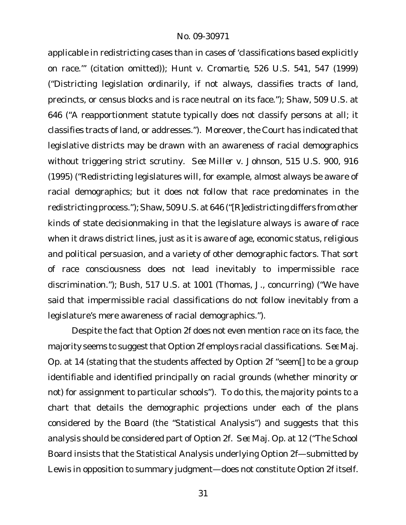applicable in redistricting cases than in cases of 'classifications based explicitly on race.'" (citation omitted)); *Hunt v. Cromartie*, 526 U.S. 541, 547 (1999) ("Districting legislation ordinarily, if not always, classifies tracts of land, precincts, or census blocks and is race neutral on its face."); *Shaw*, 509 U.S. at 646 ("A reapportionment statute typically does not classify persons at all; it classifies tracts of land, or addresses."). Moreover, the Court has indicated that legislative districts may be drawn with an awareness of racial demographics without triggering strict scrutiny. *See Miller v. Johnson*, 515 U.S. 900, 916 (1995) ("Redistricting legislatures will, for example, almost always be aware of racial demographics; but it does not follow that race predominates in the redistricting process.");*Shaw*, 509 U.S. at 646 ("[R]edistricting differs from other kinds of state decisionmaking in that the legislature always is *aware* of race when it draws district lines, just as it is aware of age, economic status, religious and political persuasion, and a variety of other demographic factors. That sort of race consciousness does not lead inevitably to impermissible race discrimination."); *Bush*, 517 U.S. at 1001 (Thomas, J., concurring) ("We have said that impermissible racial classifications do not follow inevitably from a legislature's mere awareness of racial demographics.").

Despite the fact that Option 2f does not even mention race on its face, the majority seems to suggest that Option 2f employs racial classifications. See Maj. Op. at 14 (stating that the students affected by Option 2f "seem[] to be a group identifiable and identified principally on racial grounds (whether minority or not) for assignment to particular schools"). To do this, the majority points to a chart that details the demographic projections under each of the plans considered by the Board (the "Statistical Analysis") and suggests that this analysis should be considered part of Option 2f. *See* Maj. Op. at 12 ("The School Board insists that the Statistical Analysis underlying Option 2f—submitted by Lewis in opposition to summary judgment—does not constitute Option 2f itself.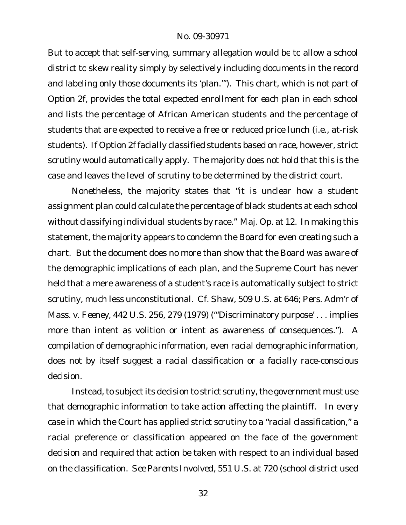But to accept that self-serving, summary allegation would be to allow a school district to skew reality simply by selectively including documents in the record and labeling only those documents its 'plan.'"). This chart, which is not part of Option 2f, provides the total expected enrollment for *each plan* in each school and lists the percentage of African American students and the percentage of students that are expected to receive a free or reduced price lunch (i.e., at-risk students). If Option 2f facially classified students based on race, however, strict scrutiny would automatically apply. The majority does not hold that this is the case and leaves the level of scrutiny to be determined by the district court.

Nonetheless, the majority states that "it is unclear how a student assignment plan could calculate the percentage of black students at each school *without* classifying *individual* students by race." Maj. Op. at 12. In making this statement, the majority appears to condemn the Board for even creating such a chart. But the document does no more than show that the Board was *aware* of the demographic implications of each plan, and the Supreme Court has never held that a mere awareness of a student's race is automatically subject to strict scrutiny, much less unconstitutional. *Cf. Shaw*, 509 U.S. at 646; *Pers. Adm'r of Mass. v. Feeney*, 442 U.S. 256, 279 (1979) ("'Discriminatory purpose' . . . implies more than intent as volition or intent as awareness of consequences."). A compilation of demographic information, even racial demographic information, does not by itself suggest a racial classification or a facially race-conscious decision.

Instead, to subject its decision to strict scrutiny, the government must use that demographic information to take action affecting the plaintiff. In every case in which the Court has applied strict scrutiny to a "racial classification," a racial preference or classification appeared on the face of the government decision *and* required that action be taken with respect to an individual based on the classification. *See Parents Involved*, 551 U.S. at 720 (school district used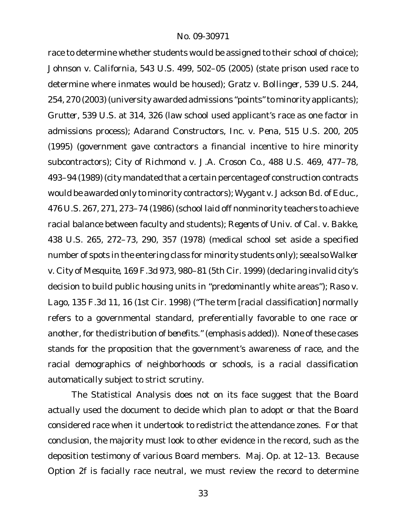race to determine whether students would be assigned to their school of choice); *Johnson v. California*, 543 U.S. 499, 502–05 (2005) (state prison used race to determine where inmates would be housed); *Gratz v. Bollinger*, 539 U.S. 244, 254, 270 (2003) (university awarded admissions "points" to minority applicants); *Grutter*, 539 U.S. at 314, 326 (law school used applicant's race as one factor in admissions process); *Adarand Constructors, Inc. v. Pena*, 515 U.S. 200, 205 (1995) (government gave contractors a financial incentive to hire minority subcontractors); *City of Richmond v. J.A. Croson Co.*, 488 U.S. 469, 477–78, 493–94 (1989) (city mandated that a certain percentage of construction contracts would be awarded only to minority contractors); *Wygant v. Jackson Bd. of Educ.*, 476 U.S. 267, 271, 273–74 (1986) (school laid off nonminority teachers to achieve racial balance between faculty and students); *Regents of Univ. of Cal. v. Bakke*, 438 U.S. 265, 272–73, 290, 357 (1978) (medical school set aside a specified number of spots in the entering class for minority students only); *see also Walker v. City of Mesquite*, 169 F.3d 973, 980–81 (5th Cir. 1999) (declaring invalid city's decision to build public housing units in "predominantly white areas"); *Raso v. Lago*, 135 F.3d 11, 16 (1st Cir. 1998) ("The term [racial classification] normally refers to a governmental standard, preferentially favorable to one race or another, *for the distribution of benefits*." (emphasis added)). None of these cases stands for the proposition that the government's awareness of race, and the racial demographics of neighborhoods or schools, is a racial classification automatically subject to strict scrutiny.

The Statistical Analysis does not on its face suggest that the Board actually used the document to decide which plan to adopt or that the Board considered race when it undertook to redistrict the attendance zones. For that conclusion, the majority must look to other evidence in the record, such as the deposition testimony of various Board members. Maj. Op. at 12–13. Because Option 2f is facially race neutral, we must review the record to determine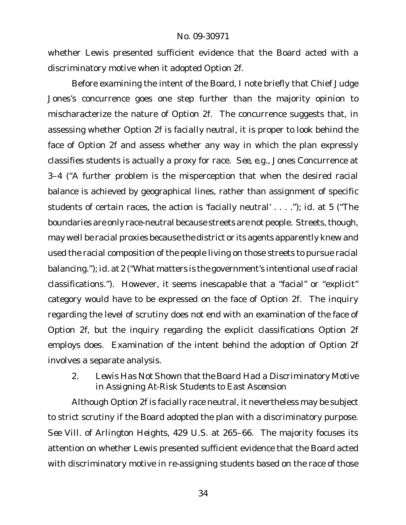whether Lewis presented sufficient evidence that the Board acted with a discriminatory motive when it adopted Option 2f.

Before examining the intent of the Board, I note briefly that Chief Judge Jones's concurrence goes one step further than the majority opinion to mischaracterize the nature of Option 2f. The concurrence suggests that, in assessing whether Option 2f is *facially neutral*, it is proper to look behind the face of Option 2f and assess whether any way in which the plan expressly classifies students is actually a proxy for race. *See, e.g.*, Jones Concurrence at 3–4 ("A further problem is the misperception that when the desired racial balance is achieved by geographical lines, rather than assignment of specific students of certain races, the action is 'facially neutral' . . . ."); *id.* at 5 ("The boundaries are only race-neutral because streets are not people. Streets, though, may well be racial proxies because the district or its agents apparently knew and used the racial composition of the people living on those streets to pursue racial balancing."); *id.* at 2 ("What matters is the government's intentional use of racial classifications."). However, it seems inescapable that a "facial" or "explicit" category would have to be expressed on the face of Option 2f. The inquiry regarding the level of scrutiny does not end with an examination of the face of Option 2f, but the inquiry regarding the explicit classifications Option 2f employs does. Examination of the intent behind the adoption of Option 2f involves a separate analysis.

2. *Lewis Has Not Shown that the Board Had a Discriminatory Motive in Assigning At-Risk Students to East Ascension*

Although Option 2f is facially race neutral, it nevertheless may be subject to strict scrutiny if the Board adopted the plan with a discriminatory purpose. *See Vill. of Arlington Heights*, 429 U.S. at 265–66. The majority focuses its attention on whether Lewis presented sufficient evidence that the Board acted with discriminatory motive in re-assigning students based on the race of those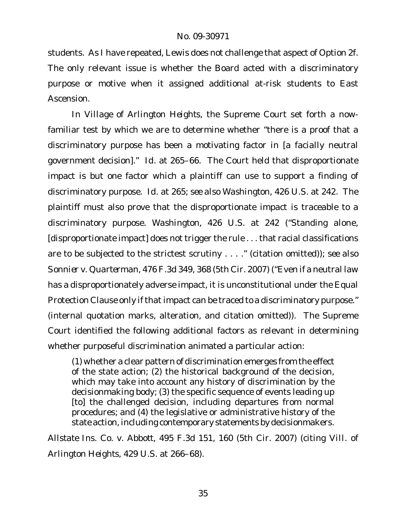students. As I have repeated, Lewis does not challenge that aspect of Option 2f. The only relevant issue is whether the Board acted with a discriminatory purpose or motive when it assigned additional at-risk students to East Ascension.

In *Village of Arlington Heights*, the Supreme Court set forth a nowfamiliar test by which we are to determine whether "there is a proof that a discriminatory purpose has been a motivating factor in [a facially neutral government decision]." *Id.* at 265–66. The Court held that disproportionate impact is but one factor which a plaintiff can use to support a finding of discriminatory purpose. *Id.* at 265; *see also Washington*, 426 U.S. at 242. The plaintiff must also prove that the disproportionate impact is traceable to a discriminatory purpose. *Washington*, 426 U.S. at 242 ("Standing alone, [disproportionate impact] does not trigger the rule . . . that racial classifications are to be subjected to the strictest scrutiny . . . ." (citation omitted)); *see also Sonnier v. Quarterman*, 476 F.3d 349, 368 (5th Cir. 2007) ("Even if a neutral law has a disproportionately adverse impact, it is unconstitutional under the Equal Protection Clause only if that impact can be traced to a discriminatory purpose." (internal quotation marks, alteration, and citation omitted)). The Supreme Court identified the following additional factors as relevant in determining whether purposeful discrimination animated a particular action:

(1) whether a clear pattern of discrimination emerges from the effect of the state action; (2) the historical background of the decision, which may take into account any history of discrimination by the decisionmaking body; (3) the specific sequence of events leading up [to] the challenged decision, including departures from normal procedures; and (4) the legislative or administrative history of the state action, including contemporary statements by decisionmakers.

*Allstate Ins. Co. v. Abbott*, 495 F.3d 151, 160 (5th Cir. 2007) (citing *Vill. of Arlington Heights*, 429 U.S. at 266–68).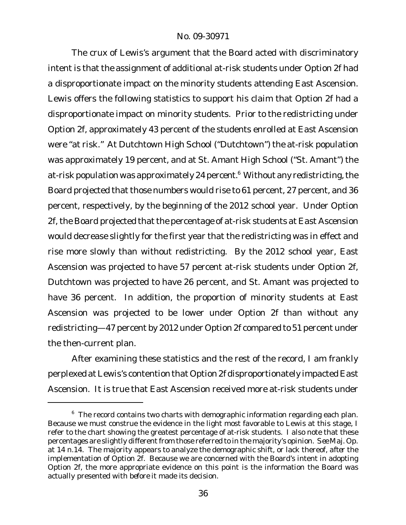The crux of Lewis's argument that the Board acted with discriminatory intent is that the assignment of additional at-risk students under Option 2f had a disproportionate impact on the minority students attending East Ascension. Lewis offers the following statistics to support his claim that Option 2f had a disproportionate impact on minority students. Prior to the redistricting under Option 2f, approximately 43 percent of the students enrolled at East Ascension were "at risk." At Dutchtown High School ("Dutchtown") the at-risk population was approximately 19 percent, and at St. Amant High School ("St. Amant") the at-risk population was approximately 24 percent.<sup>6</sup> Without any redistricting, the Board projected that those numbers would rise to 61 percent, 27 percent, and 36 percent, respectively, by the beginning of the 2012 school year. Under Option 2f, the Board projected that the percentage of at-risk students at East Ascension would decrease slightly for the first year that the redistricting was in effect and rise more slowly than without redistricting. By the 2012 school year, East Ascension was projected to have 57 percent at-risk students under Option 2f, Dutchtown was projected to have 26 percent, and St. Amant was projected to have 36 percent. In addition, the proportion of minority students at East Ascension was projected to be lower under Option 2f than without any redistricting—47 percent by 2012 under Option 2f compared to 51 percent under the then-current plan.

After examining these statistics and the rest of the record, I am frankly perplexed atLewis's contention that Option 2f disproportionately impacted East Ascension. It is true that East Ascension received more at-risk students under

<sup>&</sup>lt;sup>6</sup> The record contains two charts with demographic information regarding each plan. Because we must construe the evidence in the light most favorable to Lewis at this stage, I refer to the chart showing the greatest percentage of at-risk students. I also note that these percentages are slightly different from those referred to in the majority's opinion. *See* Maj. Op. at 14 n.14. The majority appears to analyze the demographic shift, or lack thereof, *after* the implementation of Option 2f. Because we are concerned with the Board's intent in adopting Option 2f, the more appropriate evidence on this point is the information the Board was actually presented with *before* it made its decision.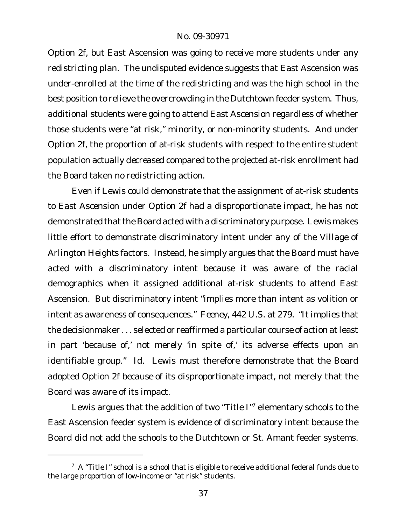Option 2f, but East Ascension was going to receive more students under any redistricting plan. The undisputed evidence suggests that East Ascension was under-enrolled at the time of the redistricting and was the high school in the best position to relieve the overcrowding in the Dutchtown feeder system. Thus, additional students were going to attend East Ascension regardless of whether those students were "at risk," minority, or non-minority students. And under Option 2f, the proportion of at-risk students with respect to the entire student population actually *decreased* compared to the projected at-risk enrollment had the Board taken no redistricting action.

Even if Lewis could demonstrate that the assignment of at-risk students to East Ascension under Option 2f had a disproportionate impact, he has not demonstrated that the Board acted with a discriminatory purpose. Lewis makes little effort to demonstrate discriminatory intent under any of the *Village of Arlington Heights* factors. Instead, he simply argues that the Board *must* have acted with a discriminatory intent because it was aware of the racial demographics when it assigned additional at-risk students to attend East Ascension. But discriminatory intent "implies more than intent as volition or intent as awareness of consequences." *Feeney*, 442 U.S. at 279. "It implies that the decisionmaker . . . selected or reaffirmed a particular course of action atleast in part 'because of,' not merely 'in spite of,' its adverse effects upon an identifiable group." *Id.* Lewis must therefore demonstrate that the Board adopted Option 2f *because of* its disproportionate impact, not merely that the Board was aware of its impact.

Lewis argues that the addition of two "Title I"<sup>7</sup> elementary schools to the East Ascension feeder system is evidence of discriminatory intent because the Board did not add the schools to the Dutchtown or St. Amant feeder systems.

 $7\,$  A "Title I" school is a school that is eligible to receive additional federal funds due to the large proportion of low-income or "at risk" students.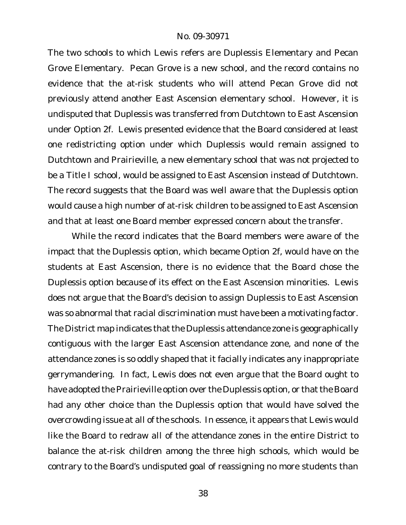The two schools to which Lewis refers are Duplessis Elementary and Pecan Grove Elementary. Pecan Grove is a new school, and the record contains no evidence that the at-risk students who will attend Pecan Grove did not previously attend another East Ascension elementary school. However, it is undisputed that Duplessis was transferred from Dutchtown to East Ascension under Option 2f. Lewis presented evidence that the Board considered at least one redistricting option under which Duplessis would remain assigned to Dutchtown and Prairieville, a new elementary school that was not projected to be a Title I school, would be assigned to East Ascension instead of Dutchtown. The record suggests that the Board was well aware that the Duplessis option would cause a high number of at-risk children to be assigned to East Ascension and that at least one Board member expressed concern about the transfer.

While the record indicates that the Board members were aware of the impact that the Duplessis option, which became Option 2f, would have on the students at East Ascension, there is no evidence that the Board chose the Duplessis option *because of* its effect on the East Ascension minorities. Lewis does not argue that the Board's decision to assign Duplessis to East Ascension was so abnormal that racial discrimination must have been a motivating factor. The District map indicates that the Duplessis attendance zone is geographically contiguous with the larger East Ascension attendance zone, and none of the attendance zones is so oddly shaped that it facially indicates any inappropriate gerrymandering. In fact, Lewis does not even argue that the Board ought to have adopted the Prairieville option over the Duplessis option, or that the Board had any other choice than the Duplessis option that would have solved the overcrowding issue at all of the schools. In essence, it appears that Lewis would like the Board to redraw *all* of the attendance zones in the entire District to balance the at-risk children among the three high schools, which would be contrary to the Board's undisputed goal of reassigning no more students than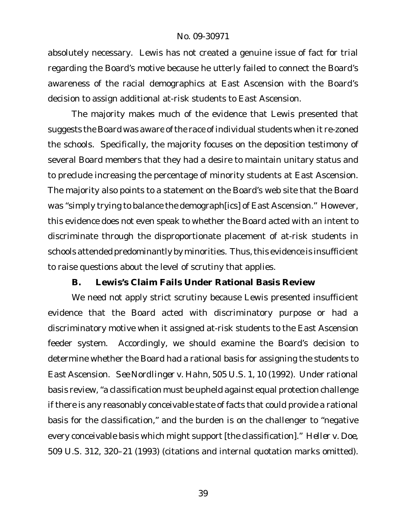absolutely necessary. Lewis has not created a genuine issue of fact for trial regarding the Board's motive because he utterly failed to connect the Board's awareness of the racial demographics at East Ascension with the Board's decision to assign additional at-risk students to East Ascension.

The majority makes much of the evidence that Lewis presented that suggests the Board was aware of the race of individual students when it re-zoned the schools. Specifically, the majority focuses on the deposition testimony of several Board members that they had a desire to maintain unitary status and to preclude increasing the percentage of minority students at East Ascension. The majority also points to a statement on the Board's web site that the Board was "simply trying to balance the demograph[ics] of East Ascension." However, this evidence does not even speak to whether the Board acted with an intent to discriminate through the disproportionate placement of at-risk students in schools attended predominantly by minorities. Thus, this evidence is insufficient to raise questions about the level of scrutiny that applies.

**B. Lewis's Claim Fails Under Rational Basis Review**

We need not apply strict scrutiny because Lewis presented insufficient evidence that the Board acted with discriminatory purpose or had a discriminatory motive when it assigned at-risk students to the East Ascension feeder system. Accordingly, we should examine the Board's decision to determine whether the Board had a rational basis for assigning the students to East Ascension. *See Nordlinger v. Hahn*, 505 U.S. 1, 10 (1992). Under rational basis review,"a classification must be upheld against equal protection challenge if there is any reasonably conceivable state of facts that could provide a rational basis for the classification," and the burden is on the challenger to "negative every conceivable basis which might support [the classification]." *Heller v. Doe*, 509 U.S. 312, 320–21 (1993) (citations and internal quotation marks omitted).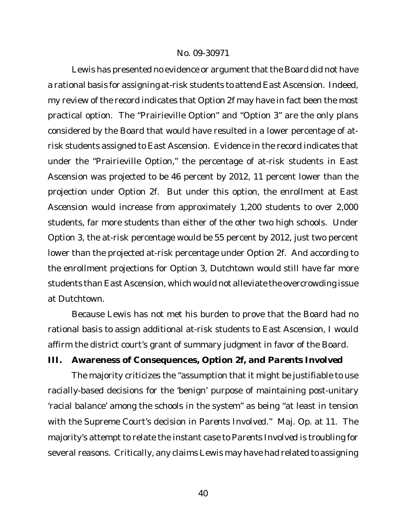Lewis has presented no evidence or argument that the Board did not have a rational basis for assigning at-risk students to attend East Ascension. Indeed, my review of the record indicates that Option 2f may have in fact been the most practical option. The "Prairieville Option" and "Option 3" are the only plans considered by the Board that would have resulted in a lower percentage of atrisk students assigned to East Ascension. Evidence in the record indicates that under the "Prairieville Option," the percentage of at-risk students in East Ascension was projected to be 46 percent by 2012, 11 percent lower than the projection under Option 2f. But under this option, the enrollment at East Ascension would increase from approximately 1,200 students to over 2,000 students, far more students than either of the other two high schools. Under Option 3, the at-risk percentage would be 55 percent by 2012, just two percent lower than the projected at-risk percentage under Option 2f. And according to the enrollment projections for Option 3, Dutchtown would still have far more students than East Ascension, which would not alleviate the overcrowding issue at Dutchtown.

Because Lewis has not met his burden to prove that the Board had no rational basis to assign additional at-risk students to East Ascension, I would affirm the district court's grant of summary judgment in favor of the Board. **III. Awareness of Consequences, Option 2f, and** *Parents Involved*

The majority criticizes the "assumption that it might be justifiable to use racially-based decisions for the 'benign' purpose of maintaining post-unitary 'racial balance' among the schools in the system" as being "at least in tension with the Supreme Court's decision in *Parents Involved*." Maj. Op. at 11. The majority's attempt to relate the instant case to *Parents Involved* is troubling for several reasons. Critically, any claims Lewis may have had related to assigning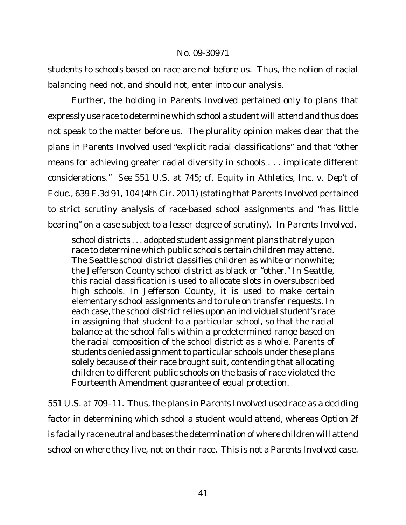students to schools based on race are not before us. Thus, the notion of racial balancing need not, and should not, enter into our analysis.

Further, the holding in *Parents Involved* pertained only to plans that expressly use race to determine which school a student will attend and thus does not speak to the matter before us. The plurality opinion makes clear that the plans in *Parents Involved* used "explicit racial classifications" and that "other means for achieving greater racial diversity in schools . . . implicate different considerations." *See* 551 U.S. at 745; c*f. Equity in Athletics, Inc. v. Dep't of Educ.*, 639 F.3d 91, 104 (4th Cir. 2011) (stating that *Parents Involved* pertained to strict scrutiny analysis of race-based school assignments and "has little bearing" on a case subject to a lesser degree of scrutiny). In *Parents Involved*,

school districts . . . adopted student assignment plans that rely upon race to determine which public schools certain children may attend. The Seattle school district classifies children as white or nonwhite; the Jefferson County school district as black or "other." In Seattle, this racial classification is used to allocate slots in oversubscribed high schools. In Jefferson County, it is used to make certain elementary school assignments and to rule on transfer requests. In each case, the school district relies upon an individual student's race in assigning that student to a particular school, so that the racial balance at the school falls within a predetermined range based on the racial composition of the school district as a whole. Parents of students denied assignment to particular schools under these plans solely because of their race brought suit, contending that allocating children to different public schools on the basis of race violated the Fourteenth Amendment guarantee of equal protection.

551 U.S. at 709–11. Thus, the plans in *Parents Involved* used race as a deciding factor in determining which school a student would attend, whereas Option 2f is facially race neutral and bases the determination of where children will attend school on where they live, not on their race. This is not a *Parents Involved* case.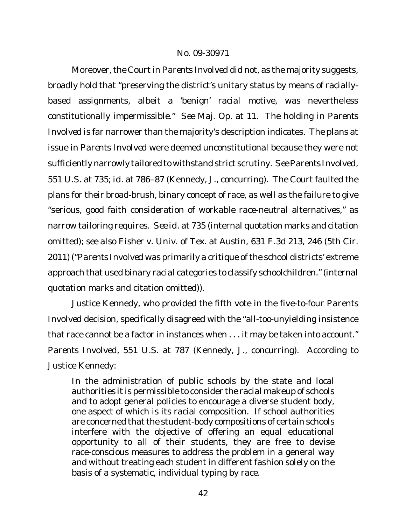Moreover, the Court in Parents Involved did not, as the majority suggests, broadly hold that "preserving the district's unitary status by means of raciallybased assignments, albeit a 'benign' racial motive, was nevertheless constitutionally impermissible." *See* Maj. Op. at 11. The holding in *Parents Involved* is far narrower than the majority's description indicates. The plans at issue in *Parents Involved* were deemed unconstitutional because they were not sufficiently narrowly tailored to withstand strict scrutiny. *See Parents Involved*, 551 U.S. at 735; *id.* at 786–87 (Kennedy, J., concurring). The Court faulted the plans for their broad-brush, binary concept of race, as well as the failure to give "serious, good faith consideration of workable race-neutral alternatives," as narrow tailoring requires. *See id.* at 735 (internal quotation marks and citation omitted); *see also Fisher v. Univ. of Tex. at Austin*, 631 F.3d 213, 246 (5th Cir. 2011) ("*Parents Involved* was primarily a critique of the school districts' extreme approach that used binary racial categories to classify schoolchildren."(internal quotation marks and citation omitted)).

Justice Kennedy, who provided the fifth vote in the five-to-four *Parents Involved* decision, specifically disagreed with the "all-too-unyielding insistence that race cannot be a factor in instances when . . . it may be taken into account." *Parents Involved*, 551 U.S. at 787 (Kennedy, J., concurring). According to Justice Kennedy:

In the administration of public schools by the state and local authorities it is permissible to consider the racial makeup of schools and to adopt general policies to encourage a diverse student body, one aspect of which is its racial composition. If school authorities are concerned that the student-body compositions of certain schools interfere with the objective of offering an equal educational opportunity to all of their students, they are free to devise race-conscious measures to address the problem in a general way and without treating each student in different fashion solely on the basis of a systematic, individual typing by race.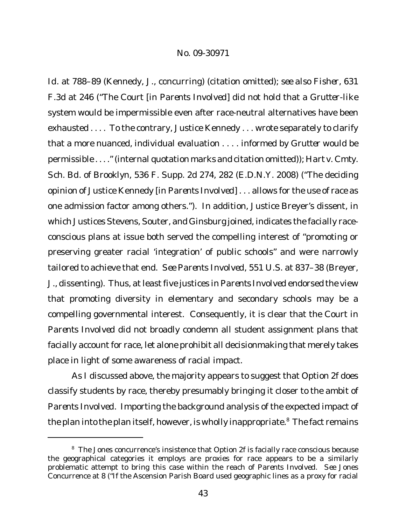*Id.* at 788–89 (Kennedy, J., concurring) (citation omitted); *see also Fisher*, 631 F.3d at 246 ("The Court [in *Parents Involved*] did not hold that a *Grutter*-like system would be impermissible even after race-neutral alternatives have been exhausted . . . . To the contrary, Justice Kennedy . . . wrote separately to clarify that a more nuanced, individual evaluation . . . . informed by *Grutter* would be permissible . . . ."(internal quotation marks and citation omitted)); *Hart v. Cmty. Sch. Bd. of Brooklyn*, 536 F. Supp. 2d 274, 282 (E.D.N.Y. 2008) ("The deciding opinion of Justice Kennedy [in *Parents Involved*] . . . allows for the use of race as one admission factor among others."). In addition, Justice Breyer's dissent, in which Justices Stevens, Souter, and Ginsburg joined, indicates the facially raceconscious plans at issue both served the compelling interest of "promoting or preserving greater racial 'integration' of public schools" and were narrowly tailored to achieve that end. *See Parents Involved*, 551 U.S. at 837–38 (Breyer, J., dissenting). Thus, at least five justices in *Parents Involved* endorsed the view that promoting diversity in elementary and secondary schools may be a compelling governmental interest. Consequently, it is clear that the Court in *Parents Involved* did not broadly condemn all student assignment plans that facially account for race, let alone prohibit all decisionmaking that merely takes place in light of some awareness of racial impact.

As I discussed above, the majority appears to suggest that Option 2f does classify students by race, thereby presumably bringing it closer to the ambit of *Parents Involved*. Importing the background analysis of the expected impact of the plan into the plan itself, however, is wholly inappropriate. $8$  The fact remains

<sup>&</sup>lt;sup>8</sup> The Jones concurrence's insistence that Option 2f is facially race conscious because the geographical categories it employs are proxies for race appears to be a similarly problematic attempt to bring this case within the reach of *Parents Involved*. *See* Jones Concurrence at 8 ("If the Ascension Parish Board used geographic lines as a proxy for racial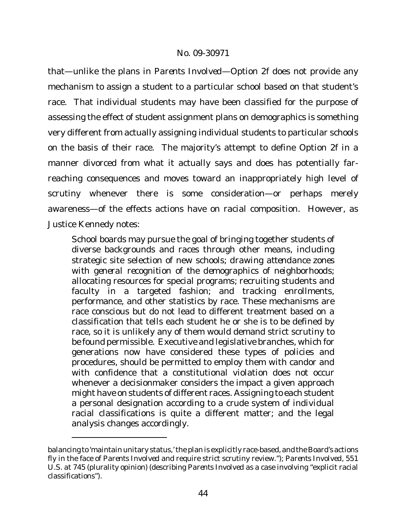that—unlike the plans in *Parents Involved*—Option 2f does not provide any mechanism to assign a student to a particular school based on that student's race. That individual students may have been classified for the purpose of assessing the effect of student assignment plans on demographics is something very different from actually assigning individual students to particular schools on the basis of their race. The majority's attempt to define Option 2f in a manner divorced from what it actually says and does has potentially farreaching consequences and moves toward an inappropriately high level of scrutiny whenever there is some consideration—or perhaps merely awareness—of the effects actions have on racial composition. However, as Justice Kennedy notes:

School boards may pursue the goal of bringing together students of diverse backgrounds and races through other means, including strategic site selection of new schools; *drawing attendance zones with general recognition of the demographics of neighborhoods*; allocating resources for special programs; recruiting students and faculty in a targeted fashion; and tracking enrollments, performance, and other statistics by race. These mechanisms are race conscious but do not lead to different treatment based on a classification that tells each student he or she is to be defined by race, so it is unlikely any of them would demand strict scrutiny to be found permissible. Executive and legislative branches, which for generations now have considered these types of policies and procedures, should be permitted to employ them with candor and with confidence that a constitutional violation does not occur whenever a decisionmaker considers the impact a given approach might have on students of different races. Assigning to each student a personal designation according to a crude system of individual racial classifications is quite a different matter; and the legal analysis changes accordingly.

balancing to 'maintain unitary status,'the plan is explicitly race-based, andthe Board's actions fly in the face of *Parents Involved* and require strict scrutiny review."); *Parents Involved*, 551 U.S. at 745 (plurality opinion) (describing *Parents Involved* as a case involving "explicit racial classifications").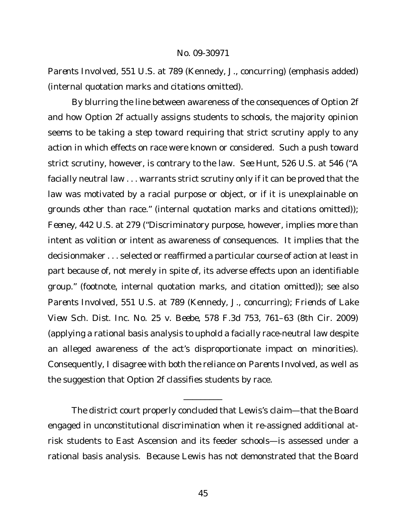*Parents Involved*, 551 U.S. at 789 (Kennedy, J., concurring) (emphasis added) (internal quotation marks and citations omitted).

By blurring the line between awareness of the consequences of Option 2f and how Option 2f actually assigns students to schools, the majority opinion seems to be taking a step toward requiring that strict scrutiny apply to any action in which effects on race were known or considered. Such a push toward strict scrutiny, however, is contrary to the law. *See Hunt*, 526 U.S. at 546 ("A facially neutral law . . . warrants strict scrutiny only if it can be proved that the law was motivated by a racial purpose or object, or if it is unexplainable on grounds other than race." (internal quotation marks and citations omitted)); *Feeney*, 442 U.S. at 279 ("Discriminatory purpose, however, implies more than intent as volition or intent as awareness of consequences. It implies that the decisionmaker . . . selected or reaffirmed a particular course of action at least in part because of, not merely in spite of, its adverse effects upon an identifiable group." (footnote, internal quotation marks, and citation omitted)); *see also Parents Involved*, 551 U.S. at 789 (Kennedy, J., concurring); *Friends of Lake View Sch. Dist. Inc. No. 25 v. Beebe*, 578 F.3d 753, 761–63 (8th Cir. 2009) (applying a rational basis analysis to uphold a facially race-neutral law despite an alleged awareness of the act's disproportionate impact on minorities). Consequently, I disagree with both the reliance on *Parents Involved*, as well as the suggestion that Option 2f classifies students by race.

The district court properly concluded that Lewis's claim—that the Board engaged in unconstitutional discrimination when it re-assigned additional atrisk students to East Ascension and its feeder schools—is assessed under a rational basis analysis. Because Lewis has not demonstrated that the Board

\_\_\_\_\_\_\_\_\_